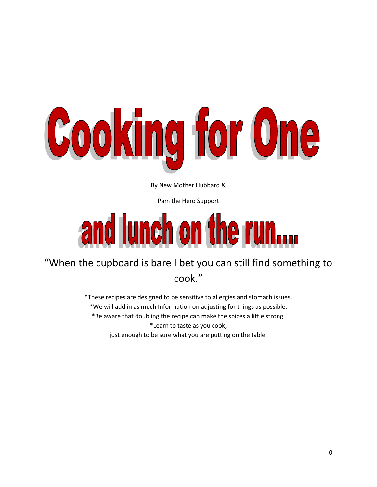

By New Mother Hubbard &

Pam the Hero Support

# and lunch on the run....

# "When the cupboard is bare I bet you can still find something to cook."

\*These recipes are designed to be sensitive to allergies and stomach issues. \*We will add in as much Information on adjusting for things as possible. \*Be aware that doubling the recipe can make the spices a little strong. \*Learn to taste as you cook; just enough to be sure what you are putting on the table.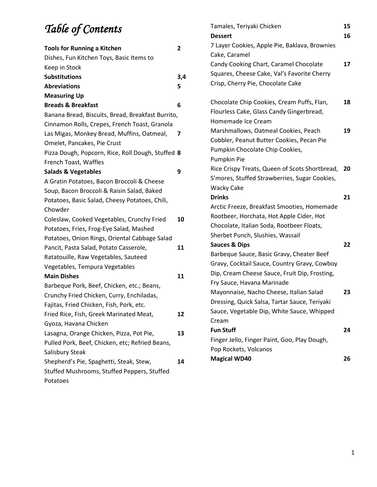# *Table of Contents*

|                                                   |                         | <b>Dessert</b>                                      | 16 |
|---------------------------------------------------|-------------------------|-----------------------------------------------------|----|
| <b>Tools for Running a Kitchen</b>                | $\overline{\mathbf{2}}$ | 7 Layer Cookies, Apple Pie, Baklava, Brownies       |    |
| Dishes, Fun Kitchen Toys, Basic Items to          |                         | Cake, Caramel                                       |    |
| Keep in Stock                                     |                         | Candy Cooking Chart, Caramel Chocolate              | 17 |
| <b>Substitutions</b>                              | 3,4                     | Squares, Cheese Cake, Val's Favorite Cherry         |    |
| <b>Abreviations</b>                               | 5                       | Crisp, Cherry Pie, Chocolate Cake                   |    |
| <b>Measuring Up</b>                               |                         |                                                     |    |
| <b>Breads &amp; Breakfast</b>                     | 6                       | Chocolate Chip Cookies, Cream Puffs, Flan,          | 18 |
| Banana Bread, Biscuits, Bread, Breakfast Burrito, |                         | Flourless Cake, Glass Candy Gingerbread,            |    |
| Cinnamon Rolls, Crepes, French Toast, Granola     |                         | Homemade Ice Cream                                  |    |
| Las Migas, Monkey Bread, Muffins, Oatmeal,        | 7                       | Marshmallows, Oatmeal Cookies, Peach                | 19 |
| Omelet, Pancakes, Pie Crust                       |                         | Cobbler, Peanut Butter Cookies, Pecan Pie           |    |
| Pizza Dough, Popcorn, Rice, Roll Dough, Stuffed 8 |                         | Pumpkin Chocolate Chip Cookies,                     |    |
| French Toast, Waffles                             |                         | Pumpkin Pie                                         |    |
| <b>Salads &amp; Vegetables</b>                    | 9                       | Rice Crispy Treats, Queen of Scots Shortbread,      | 20 |
| A Gratin Potatoes, Bacon Broccoli & Cheese        |                         | S'mores, Stuffed Strawberries, Sugar Cookies,       |    |
| Soup, Bacon Broccoli & Raisin Salad, Baked        |                         | <b>Wacky Cake</b>                                   |    |
| Potatoes, Basic Salad, Cheesy Potatoes, Chili,    |                         | <b>Drinks</b>                                       | 21 |
| Chowder                                           |                         | Arctic Freeze, Breakfast Smooties, Homemade         |    |
| Coleslaw, Cooked Vegetables, Crunchy Fried        | 10                      | Rootbeer, Horchata, Hot Apple Cider, Hot            |    |
| Potatoes, Fries, Frog-Eye Salad, Mashed           |                         | Chocolate, Italian Soda, Rootbeer Floats,           |    |
| Potatoes, Onion Rings, Oriental Cabbage Salad     |                         | Sherbet Punch, Slushies, Wassail                    |    |
| Pancit, Pasta Salad, Potato Casserole,            | 11                      | <b>Sauces &amp; Dips</b>                            | 22 |
| Ratatouille, Raw Vegetables, Sauteed              |                         | Barbeque Sauce, Basic Gravy, Cheater Beef           |    |
| Vegetables, Tempura Vegetables                    |                         | Gravy, Cocktail Sauce, Country Gravy, Cowboy        |    |
| <b>Main Dishes</b>                                | 11                      | Dip, Cream Cheese Sauce, Fruit Dip, Frosting,       |    |
| Barbeque Pork, Beef, Chicken, etc.; Beans,        |                         | Fry Sauce, Havana Marinade                          |    |
| Crunchy Fried Chicken, Curry, Enchiladas,         |                         | Mayonnaise, Nacho Cheese, Italian Salad             | 23 |
| Fajitas, Fried Chicken, Fish, Pork, etc.          |                         | Dressing, Quick Salsa, Tartar Sauce, Teriyaki       |    |
| Fried Rice, Fish, Greek Marinated Meat,           | 12                      | Sauce, Vegetable Dip, White Sauce, Whipped<br>Cream |    |
| Gyoza, Havana Chicken                             |                         | <b>Fun Stuff</b>                                    | 24 |
| Lasagna, Orange Chicken, Pizza, Pot Pie,          | 13                      |                                                     |    |
| Pulled Pork, Beef, Chicken, etc; Refried Beans,   |                         | Finger Jello, Finger Paint, Goo, Play Dough,        |    |
| Salisbury Steak                                   |                         | Pop Rockets, Volcanos<br><b>Magical WD40</b>        | 26 |
| Shepherd's Pie, Spaghetti, Steak, Stew,           | 14                      |                                                     |    |
| Stuffed Mushrooms, Stuffed Peppers, Stuffed       |                         |                                                     |    |
| Potatoes                                          |                         |                                                     |    |

Tamales, Teriyaki Chicken **15**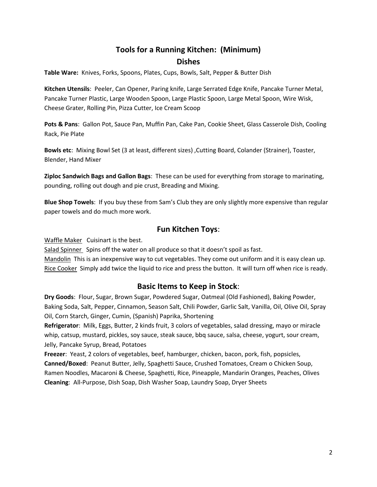## **Tools for a Running Kitchen: (Minimum) Dishes**

**Table Ware:** Knives, Forks, Spoons, Plates, Cups, Bowls, Salt, Pepper & Butter Dish

**Kitchen Utensils**: Peeler, Can Opener, Paring knife, Large Serrated Edge Knife, Pancake Turner Metal, Pancake Turner Plastic, Large Wooden Spoon, Large Plastic Spoon, Large Metal Spoon, Wire Wisk, Cheese Grater, Rolling Pin, Pizza Cutter, Ice Cream Scoop

**Pots & Pans**: Gallon Pot, Sauce Pan, Muffin Pan, Cake Pan, Cookie Sheet, Glass Casserole Dish, Cooling Rack, Pie Plate

**Bowls etc**: Mixing Bowl Set (3 at least, different sizes) ,Cutting Board, Colander (Strainer), Toaster, Blender, Hand Mixer

**Ziploc Sandwich Bags and Gallon Bags**: These can be used for everything from storage to marinating, pounding, rolling out dough and pie crust, Breading and Mixing.

**Blue Shop Towels**: If you buy these from Sam's Club they are only slightly more expensive than regular paper towels and do much more work.

#### **Fun Kitchen Toys**:

Waffle Maker Cuisinart is the best.

Salad Spinner Spins off the water on all produce so that it doesn't spoil as fast. Mandolin This is an inexpensive way to cut vegetables. They come out uniform and it is easy clean up. Rice Cooker Simply add twice the liquid to rice and press the button. It will turn off when rice is ready.

#### **Basic Items to Keep in Stock**:

**Dry Goods**: Flour, Sugar, Brown Sugar, Powdered Sugar, Oatmeal (Old Fashioned), Baking Powder, Baking Soda, Salt, Pepper, Cinnamon, Season Salt, Chili Powder, Garlic Salt, Vanilla, Oil, Olive Oil, Spray Oil, Corn Starch, Ginger, Cumin, (Spanish) Paprika, Shortening

**Refrigerator**: Milk, Eggs, Butter, 2 kinds fruit, 3 colors of vegetables, salad dressing, mayo or miracle whip, catsup, mustard, pickles, soy sauce, steak sauce, bbq sauce, salsa, cheese, yogurt, sour cream, Jelly, Pancake Syrup, Bread, Potatoes

**Freezer**: Yeast, 2 colors of vegetables, beef, hamburger, chicken, bacon, pork, fish, popsicles, **Canned/Boxed**: Peanut Butter, Jelly, Spaghetti Sauce, Crushed Tomatoes, Cream o Chicken Soup, Ramen Noodles, Macaroni & Cheese, Spaghetti, Rice, Pineapple, Mandarin Oranges, Peaches, Olives **Cleaning**: All-Purpose, Dish Soap, Dish Washer Soap, Laundry Soap, Dryer Sheets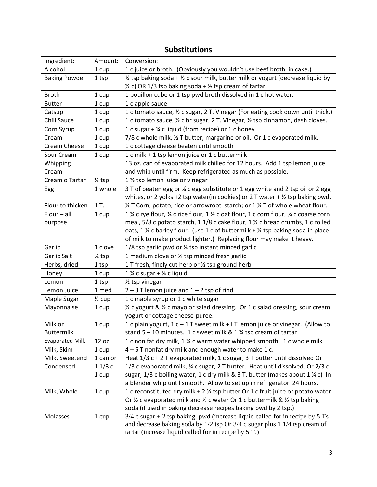## **Substitutions**

| Ingredient:            | Amount:           | Conversion:                                                                                               |
|------------------------|-------------------|-----------------------------------------------------------------------------------------------------------|
| Alcohol                | 1 cup             | 1 c juice or broth. (Obviously you wouldn't use beef broth in cake.)                                      |
| <b>Baking Powder</b>   | 1 tsp             | 1/4 tsp baking soda + 1/2 c sour milk, butter milk or yogurt (decrease liquid by                          |
|                        |                   | $\frac{1}{2}$ c) OR 1/3 tsp baking soda + $\frac{1}{2}$ tsp cream of tartar.                              |
| <b>Broth</b>           | 1 cup             | 1 bouillon cube or 1 tsp pwd broth dissolved in 1 c hot water.                                            |
| <b>Butter</b>          | 1 cup             | 1 c apple sauce                                                                                           |
| Catsup                 | 1 cup             | 1 c tomato sauce, 1/2 c sugar, 2 T. Vinegar (For eating cook down until thick.)                           |
| Chili Sauce            | 1 cup             | 1 c tomato sauce, 1/2 c br sugar, 2 T. Vinegar, 1/2 tsp cinnamon, dash cloves.                            |
| Corn Syrup             | 1 cup             | 1 c sugar + ¼ c liquid (from recipe) or 1 c honey                                                         |
| Cream                  | 1 cup             | 7/8 c whole milk, 1/2 T butter, margarine or oil. Or 1 c evaporated milk.                                 |
| Cream Cheese           | 1 cup             | 1 c cottage cheese beaten until smooth                                                                    |
| Sour Cream             | 1 cup             | 1 c milk + 1 tsp lemon juice or 1 c buttermilk                                                            |
| Whipping               |                   | 13 oz. can of evaporated milk chilled for 12 hours. Add 1 tsp lemon juice                                 |
| Cream                  |                   | and whip until firm. Keep refrigerated as much as possible.                                               |
| Cream o Tartar         | $\frac{1}{2}$ tsp | 1 1/2 tsp lemon juice or vinegar                                                                          |
| Egg                    | 1 whole           | 3 T of beaten egg or ¼ c egg substitute or 1 egg white and 2 tsp oil or 2 egg                             |
|                        |                   | whites, or 2 yolks +2 tsp water(in cookies) or 2 T water + $\frac{1}{2}$ tsp baking pwd.                  |
| Flour to thicken       | 1 T.              | 1/2 T Corn, potato, rice or arrowroot starch; or 1 1/2 T of whole wheat flour.                            |
| $Flour - all$          | 1 cup             | 1 % c rye flour, % c rice flour, 1 % c oat flour, 1 c corn flour, % c coarse corn                         |
| purpose                |                   | meal, 5/8 c potato starch, 1 1/8 c cake flour, 1 1/2 c bread crumbs, 1 c rolled                           |
|                        |                   | oats, 1 $\frac{1}{2}$ c barley flour. (use 1 c of buttermilk + $\frac{1}{2}$ tsp baking soda in place     |
|                        |                   | of milk to make product lighter.) Replacing flour may make it heavy.                                      |
| Garlic                 | 1 clove           | 1/8 tsp garlic pwd or ¼ tsp instant minced garlic                                                         |
| Garlic Salt            | 3⁄4 tsp           | 1 medium clove or 1/2 tsp minced fresh garlic                                                             |
| Herbs, dried           | 1 tsp             | 1 T fresh, finely cut herb or 1/2 tsp ground herb                                                         |
| Honey                  | 1 cup             | $1\%$ c sugar + $\%$ c liquid                                                                             |
| Lemon                  | 1 tsp             | 1/ <sub>2</sub> tsp vinegar                                                                               |
| Lemon Juice            | 1 med             | $2 - 3$ T lemon juice and $1 - 2$ tsp of rind                                                             |
| Maple Sugar            | $\frac{1}{2}$ cup | 1 c maple syrup or 1 c white sugar                                                                        |
| Mayonnaise             | 1 cup             | 1/2 c yogurt & 1/2 c mayo or salad dressing. Or 1 c salad dressing, sour cream,                           |
|                        |                   | yogurt or cottage cheese-puree.                                                                           |
| Milk or                | 1 cup             | 1 c plain yogurt, 1 c - 1 T sweet milk + I T lemon juice or vinegar. (Allow to                            |
| <b>Buttermilk</b>      |                   | stand $5 - 10$ minutes. 1 c sweet milk & 1 $\frac{3}{4}$ tsp cream of tartar                              |
| <b>Evaporated Milk</b> | 12 oz             | 1 c non fat dry milk, 1 % c warm water whipped smooth. 1 c whole milk                                     |
| Milk, Skim             | 1 cup             | 4-5 T nonfat dry milk and enough water to make 1 c.                                                       |
| Milk, Sweetend         | 1 can or          | Heat 1/3 c + 2 T evaporated milk, 1 c sugar, 3 T butter until dissolved Or                                |
| Condensed              | 11/3c             | 1/3 c evaporated milk, % c sugar, 2 T butter. Heat until dissolved. Or 2/3 c                              |
|                        | 1 cup             | sugar, 1/3 c boiling water, 1 c dry milk & 3 T. butter (makes about 1 % c) In                             |
|                        |                   | a blender whip until smooth. Allow to set up in refrigerator 24 hours.                                    |
| Milk, Whole            | 1 cup             | 1 c reconstituted dry milk + 2 1/2 tsp butter Or 1 c fruit juice or potato water                          |
|                        |                   | Or $\frac{1}{2}$ c evaporated milk and $\frac{1}{2}$ c water Or 1 c buttermilk & $\frac{1}{2}$ tsp baking |
|                        |                   | soda (if used in baking decrease recipes baking pwd by 2 tsp.)                                            |
| Molasses               | 1 cup             | $3/4$ c sugar + 2 tsp baking pwd (increase liquid called for in recipe by 5 Ts                            |
|                        |                   | and decrease baking soda by 1/2 tsp Or 3/4 c sugar plus 1 1/4 tsp cream of                                |
|                        |                   | tartar (increase liquid called for in recipe by 5 T.)                                                     |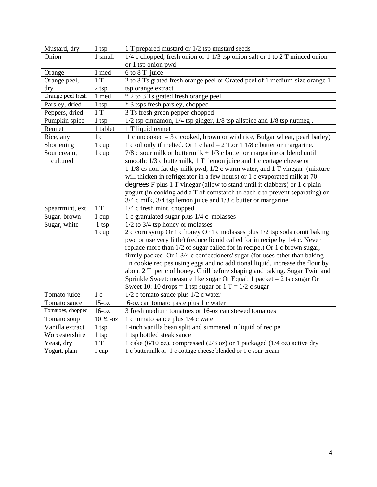| Mustard, dry      | 1 tsp               | 1 T prepared mustard or 1/2 tsp mustard seeds                                   |
|-------------------|---------------------|---------------------------------------------------------------------------------|
| Onion             | 1 small             | $1/4$ c chopped, fresh onion or $1-1/3$ tsp onion salt or 1 to 2 T minced onion |
|                   |                     | or 1 tsp onion pwd                                                              |
| Orange            | 1 med               | 6 to 8 T juice                                                                  |
| Orange peel,      | $\overline{1}T$     | 2 to 3 Ts grated fresh orange peel or Grated peel of 1 medium-size orange 1     |
| dry               | 2 tsp               | tsp orange extract                                                              |
| Orange peel fresh | 1 med               | * 2 to 3 Ts grated fresh orange peel                                            |
| Parsley, dried    | 1 tsp               | * 3 tsps fresh parsley, chopped                                                 |
| Peppers, dried    | 1T                  | 3 Ts fresh green pepper chopped                                                 |
| Pumpkin spice     | 1 tsp               | $1/2$ tsp cinnamon, $1/4$ tsp ginger, $1/8$ tsp allspice and $1/8$ tsp nutmeg.  |
| Rennet            | 1 tablet            | 1 T liquid rennet                                                               |
| Rice, any         | 1 <sub>c</sub>      | 1 c uncooked $=$ 3 c cooked, brown or wild rice, Bulgar wheat, pearl barley)    |
| Shortening        | 1 cup               | 1 c oil only if melted. Or 1 c lard $-2$ T.or 1 1/8 c butter or margarine.      |
| Sour cream,       | $1 \text{ cup}$     | $7/8$ c sour milk or buttermilk + $1/3$ c butter or margarine or blend until    |
| cultured          |                     | smooth: 1/3 c buttermilk, 1 T lemon juice and 1 c cottage cheese or             |
|                   |                     | 1-1/8 cs non-fat dry milk pwd, 1/2 c warm water, and 1 T vinegar (mixture       |
|                   |                     | will thicken in refrigerator in a few hours) or 1 c evaporated milk at 70       |
|                   |                     | degrees F plus 1 T vinegar (allow to stand until it clabbers) or 1 c plain      |
|                   |                     | yogurt (in cooking add a T of cornstarch to each c to prevent separating) or    |
|                   |                     | $3/4$ c milk, $3/4$ tsp lemon juice and $1/3$ c butter or margarine             |
| Spearrmint, ext   | 1T                  | 1/4 c fresh mint, chopped                                                       |
| Sugar, brown      | 1 cup               | 1 c granulated sugar plus 1/4 c molasses                                        |
| Sugar, white      | $1$ tsp             | $1/2$ to $3/4$ tsp honey or molasses                                            |
|                   | $1 \text{ cup}$     | 2 c corn syrup Or 1 c honey Or 1 c molasses plus 1/2 tsp soda (omit baking      |
|                   |                     | pwd or use very little) (reduce liquid called for in recipe by 1/4 c. Never     |
|                   |                     | replace more than 1/2 of sugar called for in recipe.) Or 1 c brown sugar,       |
|                   |                     | firmly packed Or 1 3/4 c confectioners' sugar (for uses other than baking       |
|                   |                     | In cookie recipes using eggs and no additional liquid, increase the flour by    |
|                   |                     | about 2 T per c of honey. Chill before shaping and baking. Sugar Twin and       |
|                   |                     | Sprinkle Sweet: measure like sugar Or Equal: 1 packet = $2$ tsp sugar Or        |
|                   |                     | Sweet 10: 10 drops = 1 tsp sugar or $1 T = 1/2$ c sugar                         |
| Tomato juice      | 1 <sub>c</sub>      | 1/2 c tomato sauce plus 1/2 c water                                             |
| Tomato sauce      | $15-oz$             | 6-oz can tomato paste plus 1 c water                                            |
| Tomatoes, chopped | $16-oz$             | 3 fresh medium tomatoes or 16-oz can stewed tomatoes                            |
| Tomato soup       | $10\frac{3}{4}$ -oz | 1 c tomato sauce plus 1/4 c water                                               |
| Vanilla extract   | $1$ tsp             | 1-inch vanilla bean split and simmered in liquid of recipe                      |
| Worcestershire    | $1$ tsp             | 1 tsp bottled steak sauce                                                       |
| Yeast, dry        | 1T                  | 1 cake (6/10 oz), compressed (2/3 oz) or 1 packaged (1/4 oz) active dry         |
| Yogurt, plain     | 1 cup               | 1 c buttermilk or 1 c cottage cheese blended or 1 c sour cream                  |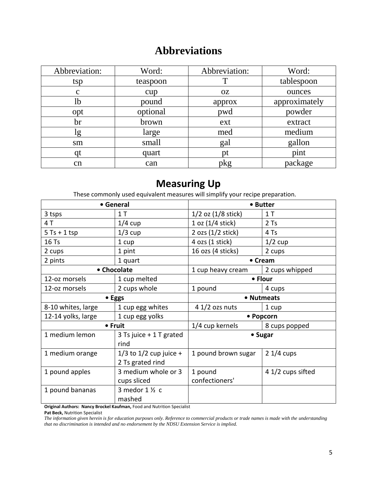## **Abbreviations**

| Abbreviation: | Word:    | Abbreviation: | Word:         |
|---------------|----------|---------------|---------------|
| tsp           | teaspoon |               | tablespoon    |
| $\mathbf c$   | cup      | <b>OZ</b>     | ounces        |
| 1b            | pound    | approx        | approximately |
| opt           | optional | pwd           | powder        |
| br            | brown    | ext           | extract       |
| lg            | large    | med           | medium        |
| sm            | small    | gal           | gallon        |
| qt            | quart    | pt            | pint          |
| cn            | can      | pkg           | package       |

## **Measuring Up**

These commonly used equivalent measures will simplify your recipe preparation.

|                    | • General                                      |                           | • Butter          |
|--------------------|------------------------------------------------|---------------------------|-------------------|
| 3 tsps             | 1T                                             | $1/2$ oz $(1/8$ stick)    | 1T                |
| 4 T                | $1/4$ cup                                      | 1 oz (1/4 stick)          | $2$ Ts            |
| $5$ Ts + 1 tsp     | $1/3$ cup                                      | 2 ozs $(1/2$ stick)       | 4 Ts              |
| 16 Ts              | 1 cup                                          | $4$ ozs $(1$ stick)       | $1/2$ cup         |
| 2 cups             | 1 pint                                         | 16 ozs (4 sticks)         | 2 cups            |
| 2 pints            | 1 quart                                        |                           | • Cream           |
|                    | • Chocolate                                    | 1 cup heavy cream         | 2 cups whipped    |
| 12-oz morsels      | 1 cup melted                                   |                           | • Flour           |
| 12-oz morsels      | 2 cups whole                                   | 1 pound                   | 4 cups            |
| • Eggs             |                                                | • Nutmeats                |                   |
| 8-10 whites, large | 1 cup egg whites                               | $41/2$ ozs nuts           | 1 cup             |
| 12-14 yolks, large | 1 cup egg yolks                                |                           | • Popcorn         |
| • Fruit            |                                                | 1/4 cup kernels           | 8 cups popped     |
| 1 medium lemon     | 3 Ts juice + 1 T grated<br>rind                |                           | • Sugar           |
| 1 medium orange    | $1/3$ to $1/2$ cup juice +<br>2 Ts grated rind | 1 pound brown sugar       | $21/4$ cups       |
| 1 pound apples     | 3 medium whole or 3<br>cups sliced             | 1 pound<br>confectioners' | 4 1/2 cups sifted |
| 1 pound bananas    | 3 medor $1\frac{1}{2}$ c<br>mashed             |                           |                   |

**Original Authors: Nancy Brockel Kaufman, Food and Nutrition Specialist** 

**Pat Beck,** Nutrition Specialist

*The information given herein is for education purposes only. Reference to commercial products or trade names is made with the understanding that no discrimination is intended and no endorsement by the NDSU Extension Service is implied.*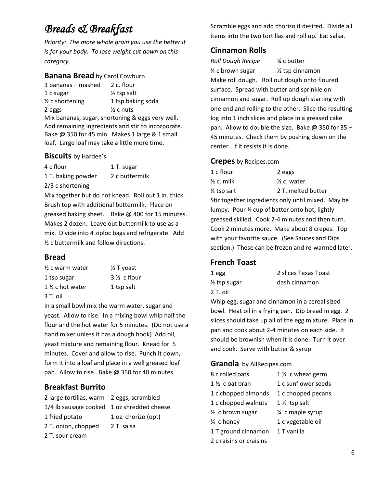# *Breads & Breakfast*

*Priority: The more whole grain you use the better it is for your body. To lose weight cut down on this category*.

#### **Banana Bread** by Carol Cowburn

 $3$  bananas – mashed  $2$  c. flour 1 c sugar ½ tsp salt  $\frac{1}{2}$  c shortening 1 tsp baking soda 2 eggs ½ c nuts Mix bananas, sugar, shortening & eggs very well. Add remaining ingredients and stir to incorporate. Bake @ 350 for 45 min. Makes 1 large & 1 small loaf. Large loaf may take a little more time.

#### **Biscuits** by Hardee's

| 4 c flour          | 1 T. sugar     |
|--------------------|----------------|
| 1 T. baking powder | 2 c buttermilk |
| $2/3$ c shortening |                |

Mix together but do not knead. Roll out 1 in. thick. Brush top with additional buttermilk. Place on greased baking sheet. Bake @ 400 for 15 minutes. Makes 2 dozen. Leave out buttermilk to use as a mix. Divide into 4 ziploc bags and refrigerate. Add ½ c buttermilk and follow directions.

## **Bread**

| $\frac{1}{2}$ c warm water | $\frac{1}{2}$ T yeast  |
|----------------------------|------------------------|
| 1 tsp sugar                | $3\frac{1}{2}$ c flour |
| 1 ¼ c hot water            | 1 tsp salt             |
| 3 T. oil                   |                        |

In a small bowl mix the warm water, sugar and yeast. Allow to rise. In a mixing bowl whip half the flour and the hot water for 5 minutes. (Do not use a hand mixer unless it has a dough hook) Add oil, yeast mixture and remaining flour. Knead for 5 minutes. Cover and allow to rise. Punch it down, form it into a loaf and place in a well greased loaf pan. Allow to rise. Bake @ 350 for 40 minutes.

## **Breakfast Burrito**

| 2 large tortillas, warm 2 eggs, scrambled  |                     |
|--------------------------------------------|---------------------|
| 1/4 lb sausage cooked 1 oz shredded cheese |                     |
| 1 fried potato                             | 1 oz. chorizo (opt) |
| 2 T. onion, chopped                        | 2 T. salsa          |
| 2 T. sour cream                            |                     |

Scramble eggs and add chorizo if desired. Divide all items into the two tortillas and roll up. Eat salsa.

## **Cinnamon Rolls**

*Roll Dough Recipe* ¼ c butter ¼ c brown sugar ½ tsp cinnamon Make roll dough. Roll out dough onto floured surface. Spread with butter and sprinkle on cinnamon and sugar. Roll up dough starting with one end and rolling to the other. Slice the resulting log into 1 inch slices and place in a greased cake pan. Allow to double the size. Bake  $@$  350 for 35 -45 minutes. Check them by pushing down on the center. If it resists it is done.

#### **Crepes** by Recipes.com

| 1 c flour                                       | 2 eggs                                             |  |
|-------------------------------------------------|----------------------------------------------------|--|
| $\frac{1}{2}$ c. milk                           | $\frac{1}{2}$ c. water                             |  |
| 1/4 tsp salt                                    | 2 T. melted butter                                 |  |
|                                                 | Stir together ingredients only until mixed. May be |  |
| lumpy. Pour 1/4 cup of batter onto hot, lightly |                                                    |  |
|                                                 | greased skilled. Cook 2-4 minutes and then turn.   |  |
|                                                 | Cook 2 minutes more. Make about 8 crepes. Top      |  |
| with your favorite sauce. (See Sauces and Dips  |                                                    |  |
|                                                 | section.) These can be frozen and re-warmed later. |  |

## **French Toast**

| 1 egg         | 2 slices Texas Toast |
|---------------|----------------------|
| 1/2 tsp sugar | dash cinnamon        |
| 2 T. oil      |                      |

Whip egg, sugar and cinnamon in a cereal sized bowl. Heat oil in a frying pan. Dip bread in egg. 2 slices should take up all of the egg mixture. Place in pan and cook about 2-4 minutes on each side. It should be brownish when it is done. Turn it over and cook. Serve with butter & syrup.

## **Granola** by AllRecipes.com

| 8 c rolled oats               | 1 1/ <sub>2</sub> c wheat germ |
|-------------------------------|--------------------------------|
| $1\%$ coat bran               | 1 c sunflower seeds            |
| 1 c chopped almonds           | 1 c chopped pecans             |
| 1 c chopped walnuts           | $1\frac{1}{2}$ tsp salt        |
| 1/ <sub>2</sub> c brown sugar | 1/4 c maple syrup              |
| ¾ c honey                     | 1 c vegetable oil              |
| 1 T ground cinnamon           | 1 T vanilla                    |
| 2 c raisins or craisins       |                                |
|                               |                                |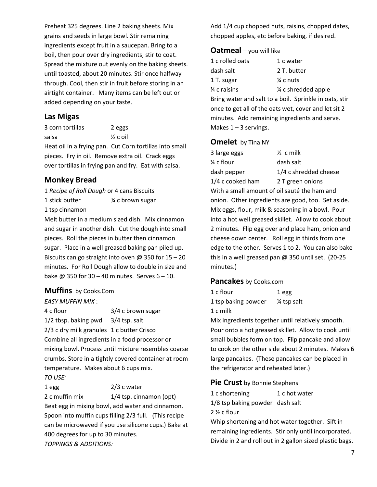Preheat 325 degrees. Line 2 baking sheets. Mix grains and seeds in large bowl. Stir remaining ingredients except fruit in a saucepan. Bring to a boil, then pour over dry ingredients, stir to coat. Spread the mixture out evenly on the baking sheets. until toasted, about 20 minutes. Stir once halfway through. Cool, then stir in fruit before storing in an airtight container. Many items can be left out or added depending on your taste.

#### **Las Migas**

3 corn tortillas 2 eggs salsa ½ c oil Heat oil in a frying pan. Cut Corn tortillas into small pieces. Fry in oil. Remove extra oil. Crack eggs over tortillas in frying pan and fry. Eat with salsa.

#### **Monkey Bread**

1 *Recipe of Roll Dough* or 4 cans Biscuits 1 stick butter <sup>3⁄4</sup> c brown sugar 1 tsp cinnamon

Melt butter in a medium sized dish. Mix cinnamon and sugar in another dish. Cut the dough into small pieces. Roll the pieces in butter then cinnamon sugar. Place in a well greased baking pan piled up. Biscuits can go straight into oven  $\omega$  350 for 15 – 20 minutes. For Roll Dough allow to double in size and bake  $@$  350 for 30 – 40 minutes. Serves  $6 - 10$ .

#### **Muffins** by Cooks.Com

#### *EASY MUFFIN MIX* :

4 c flour 3/4 c brown sugar 1/2 tbsp. baking pwd 3/4 tsp. salt 2/3 c dry milk granules 1 c butter Crisco Combine all ingredients in a food processor or mixing bowl. Process until mixture resembles coarse crumbs. Store in a tightly covered container at room temperature. Makes about 6 cups mix. *TO USE:*

1 egg 2/3 c water 2 c muffin mix 1/4 tsp. cinnamon (opt) Beat egg in mixing bowl, add water and cinnamon. Spoon into muffin cups filling 2/3 full. (This recipe can be microwaved if you use silicone cups.) Bake at 400 degrees for up to 30 minutes. *TOPPINGS & ADDITIONS:*

Add 1/4 cup chopped nuts, raisins, chopped dates, chopped apples, etc before baking, if desired.

#### **Oatmeal** – you will like

| 1 c rolled oats         | 1 c water            |
|-------------------------|----------------------|
| dash salt               | 2 T. butter          |
| 1 T. sugar              | $\frac{1}{4}$ c nuts |
| $\frac{1}{4}$ c raisins | 1/4 c shredded apple |

Bring water and salt to a boil. Sprinkle in oats, stir once to get all of the oats wet, cover and let sit 2 minutes. Add remaining ingredients and serve. Makes  $1 - 3$  servings.

#### **Omelet** by Tina NY

| 3 large eggs                                 | $\frac{1}{2}$ c milk                                 |
|----------------------------------------------|------------------------------------------------------|
| $\frac{1}{4}$ c flour                        | dash salt                                            |
| dash pepper                                  | 1/4 c shredded cheese                                |
| 1/4 c cooked ham                             | 2 T green onions                                     |
| With a small amount of oil sauté the ham and |                                                      |
|                                              | onion. Other ingredients are good, too. Set aside.   |
|                                              | Mix eggs, flour, milk & seasoning in a bowl. Pour    |
|                                              | into a hot well greased skillet. Allow to cook about |
|                                              | 2 minutes. Flip egg over and place ham, onion and    |
|                                              | cheese down center. Roll egg in thirds from one      |
|                                              | edge to the other. Serves 1 to 2. You can also bake  |
|                                              | this in a well greased pan $@$ 350 until set. (20-25 |
| minutes.)                                    |                                                      |
|                                              |                                                      |

#### **Pancakes** by Cooks.com

1 c flour 1 egg 1 tsp baking powder ¼ tsp salt 1 c milk

Mix ingredients together until relatively smooth. Pour onto a hot greased skillet. Allow to cook until small bubbles form on top. Flip pancake and allow to cook on the other side about 2 minutes. Makes 6 large pancakes. (These pancakes can be placed in the refrigerator and reheated later.)

#### **Pie Crust** by Bonnie Stephens

| 1 c shortening                  | 1 c hot water |
|---------------------------------|---------------|
| 1/8 tsp baking powder dash salt |               |
| $2\frac{1}{2}$ c flour          |               |

Whip shortening and hot water together. Sift in remaining ingredients. Stir only until incorporated. Divide in 2 and roll out in 2 gallon sized plastic bags.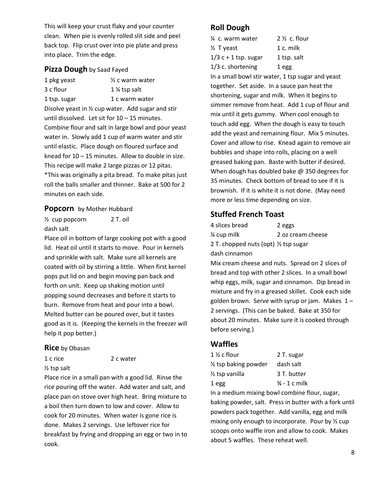This will keep your crust flaky and your counter clean. When pie is evenly rolled slit side and peel back top. Flip crust over into pie plate and press into place. Trim the edge.

#### **Pizza Dough** by Saad Fayed

| 1 pkg yeast                                       | $\frac{1}{2}$ c warm water                                   |
|---------------------------------------------------|--------------------------------------------------------------|
| 3 c flour                                         | 1 % tsp salt                                                 |
| 1 tsp. sugar                                      | 1 c warm water                                               |
|                                                   | Disolve yeast in $\frac{1}{2}$ cup water. Add sugar and stir |
| until dissolved. Let sit for $10 - 15$ minutes.   |                                                              |
|                                                   | Combine flour and salt in large bowl and pour yeast          |
|                                                   | water in. Slowly add 1 cup of warm water and stir            |
|                                                   | until elastic. Place dough on floured surface and            |
|                                                   | knead for 10 – 15 minutes. Allow to double in size.          |
| This recipe will make 2 large pizzas or 12 pitas. |                                                              |
|                                                   | *This was originally a pita bread. To make pitas just        |
|                                                   | roll the balls smaller and thinner. Bake at 500 for 2        |
| minutes on each side.                             |                                                              |
|                                                   |                                                              |

#### **Popcorn** by Mother Hubbard

½ cup popcorn 2 T. oil dash salt

Place oil in bottom of large cooking pot with a good lid. Heat oil until it starts to move. Pour in kernels and sprinkle with salt. Make sure all kernels are coated with oil by stirring a little. When first kernel pops put lid on and begin moving pan back and forth on unit. Keep up shaking motion until popping sound decreases and before it starts to burn. Remove from heat and pour into a bowl. Melted butter can be poured over, but it tastes good as it is. (Keeping the kernels in the freezer will help it pop better.)

#### **Rice** by Obasan

1 c rice 2 c water

½ tsp salt

Place rice in a small pan with a good lid. Rinse the rice pouring off the water. Add water and salt, and place pan on stove over high heat. Bring mixture to a boil then turn down to low and cover. Allow to cook for 20 minutes. When water is gone rice is done. Makes 2 servings. Use leftover rice for breakfast by frying and dropping an egg or two in to cook.

## **Roll Dough**

| 1/4 c. warm water      | $2\frac{1}{2}$ c. flour |
|------------------------|-------------------------|
| 1/2 Tyeast             | 1 c. milk               |
| $1/3$ c + 1 tsp. sugar | 1 tsp. salt             |
| 1/3 c. shortening      | 1 egg                   |
|                        |                         |

In a small bowl stir water, 1 tsp sugar and yeast together. Set aside. In a sauce pan heat the shortening, sugar and milk. When it begins to simmer remove from heat. Add 1 cup of flour and mix until it gets gummy. When cool enough to touch add egg. When the dough is easy to touch add the yeast and remaining flour. Mix 5 minutes. Cover and allow to rise. Knead again to remove air bubbles and shape into rolls, placing on a well greased baking pan. Baste with butter if desired. When dough has doubled bake @ 350 degrees for 35 minutes. Check bottom of bread to see if it is brownish. If it is white it is not done. (May need more or less time depending on size.

## **Stuffed French Toast**

| 4 slices bread                        | 2 eggs            |
|---------------------------------------|-------------------|
| $\frac{1}{4}$ cup milk                | 2 oz cream cheese |
| 2 T. chopped nuts (opt) 1/2 tsp sugar |                   |
| dash cinnamon                         |                   |

Mix cream cheese and nuts. Spread on 2 slices of bread and top with other 2 slices. In a small bowl whip eggs, milk, sugar and cinnamon. Dip bread in mixture and fry in a greased skillet. Cook each side golden brown. Serve with syrup or jam. Makes  $1 -$ 2 servings. (This can be baked. Bake at 350 for about 20 minutes. Make sure it is cooked through before serving.)

## **Waffles**

| 2 T. sugar               |
|--------------------------|
| dash salt                |
| 3 T. butter              |
| $\frac{3}{4}$ - 1 c milk |
|                          |

In a medium mixing bowl combine flour, sugar, baking powder, salt. Press in butter with a fork until powders pack together. Add vanilla, egg and milk mixing only enough to incorporate. Pour by ½ cup scoops onto waffle iron and allow to cook. Makes about 5 waffles. These reheat well.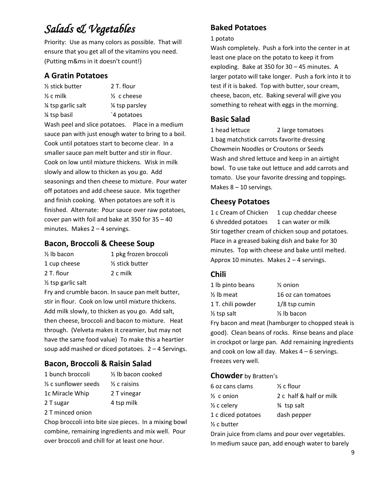# *Salads & Vegetables*

Priority: Use as many colors as possible. That will ensure that you get all of the vitamins you need. (Putting m&ms in it doesn't count!)

## **A Gratin Potatoes**

| ½ stick butter                                    | 2 T. flour                                           |  |
|---------------------------------------------------|------------------------------------------------------|--|
| $\%$ c milk                                       | $\frac{1}{2}$ c cheese                               |  |
| % tsp garlic salt                                 | 1/4 tsp parsley                                      |  |
| ¼ tsp basil                                       | `4 potatoes                                          |  |
|                                                   | Wash peel and slice potatoes. Place in a medium      |  |
|                                                   | sauce pan with just enough water to bring to a boil. |  |
| Cook until potatoes start to become clear. In a   |                                                      |  |
| smaller sauce pan melt butter and stir in flour.  |                                                      |  |
| Cook on low until mixture thickens. Wisk in milk  |                                                      |  |
| slowly and allow to thicken as you go. Add        |                                                      |  |
| seasonings and then cheese to mixture. Pour water |                                                      |  |
|                                                   | off potatoes and add cheese sauce. Mix together      |  |
|                                                   | and finish cooking. When potatoes are soft it is     |  |
|                                                   | finished. Alternate: Pour sauce over raw potatoes,   |  |
| cover pan with foil and bake at 350 for 35 - 40   |                                                      |  |
| minutes. Makes 2 - 4 servings.                    |                                                      |  |

## **Bacon, Broccoli & Cheese Soup**

| $\frac{1}{2}$ lb bacon        | 1 pkg frozen broccoli        |
|-------------------------------|------------------------------|
| 1 cup cheese                  | 1/ <sub>2</sub> stick butter |
| 2 T. flour                    | 2 c milk                     |
| $\frac{1}{2}$ tsp garlic salt |                              |

Fry and crumble bacon. In sauce pan melt butter, stir in flour. Cook on low until mixture thickens. Add milk slowly, to thicken as you go. Add salt, then cheese, broccoli and bacon to mixture. Heat through. (Velveta makes it creamier, but may not have the same food value) To make this a heartier soup add mashed or diced potatoes.  $2 - 4$  Servings.

## **Bacon, Broccoli & Raisin Salad**

1 bunch broccoli ½ lb bacon cooked  $\frac{1}{2}$  c sunflower seeds  $\frac{1}{2}$  c raisins 1c Miracle Whip 2 T vinegar 2 T sugar 4 tsp milk

2 T minced onion

Chop broccoli into bite size pieces. In a mixing bowl combine, remaining ingredients and mix well. Pour over broccoli and chill for at least one hour.

## **Baked Potatoes**

#### 1 potato

Wash completely. Push a fork into the center in at least one place on the potato to keep it from exploding. Bake at 350 for 30 – 45 minutes. A larger potato will take longer. Push a fork into it to test if it is baked. Top with butter, sour cream, cheese, bacon, etc. Baking several will give you something to reheat with eggs in the morning.

## **Basic Salad**

1 head lettuce 2 large tomatoes 1 bag matchstick carrots favorite dressing Chowmein Noodles or Croutons or Seeds Wash and shred lettuce and keep in an airtight bowl. To use take out lettuce and add carrots and tomato. Use your favorite dressing and toppings. Makes 8 – 10 servings.

## **Cheesy Potatoes**

1 c Cream of Chicken 1 cup cheddar cheese 6 shredded potatoes 1 can water or milk Stir together cream of chicken soup and potatoes. Place in a greased baking dish and bake for 30 minutes. Top with cheese and bake until melted. Approx 10 minutes. Makes 2 – 4 servings.

## **Chili**

| 1 lb pinto beans                                                                                              | $\frac{1}{2}$ onion    |
|---------------------------------------------------------------------------------------------------------------|------------------------|
| ½ lb meat                                                                                                     | 16 oz can tomatoes     |
| 1 T. chili powder                                                                                             | $1/8$ tsp cumin        |
| ½ tsp salt                                                                                                    | $\frac{1}{2}$ lb bacon |
| ∈ de la característica de la característica de la característica de la característica de la característica de |                        |

Fry bacon and meat (hamburger to chopped steak is good). Clean beans of rocks. Rinse beans and place in crockpot or large pan. Add remaining ingredients and cook on low all day. Makes  $4 - 6$  servings. Freezes very well.

#### **Chowder** by Bratten's

| 6 oz cans clams        | $\frac{1}{2}$ c flour   |
|------------------------|-------------------------|
| $\frac{1}{2}$ c onion  | 2 c half & half or milk |
| $\frac{1}{2}$ c celery | <b>34</b> tsp salt      |
| 1 c diced potatoes     | dash pepper             |
| $\frac{1}{2}$ c butter |                         |

Drain juice from clams and pour over vegetables. In medium sauce pan, add enough water to barely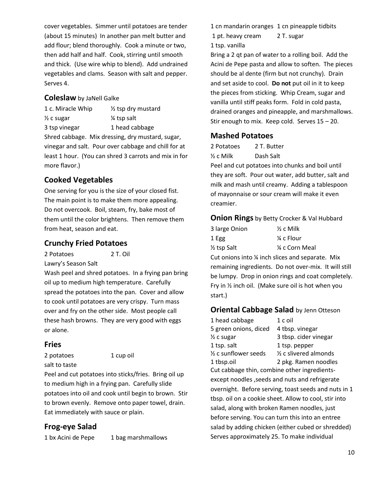cover vegetables. Simmer until potatoes are tender (about 15 minutes) In another pan melt butter and add flour; blend thoroughly. Cook a minute or two, then add half and half. Cook, stirring until smooth and thick. (Use wire whip to blend). Add undrained vegetables and clams. Season with salt and pepper. Serves 4.

#### **Coleslaw** by JaNell Galke

1 c. Miracle Whip ½ tsp dry mustard ½ c sugar ¼ tsp salt 3 tsp vinegar 1 head cabbage Shred cabbage. Mix dressing, dry mustard, sugar, vinegar and salt. Pour over cabbage and chill for at least 1 hour. (You can shred 3 carrots and mix in for more flavor.)

## **Cooked Vegetables**

One serving for you is the size of your closed fist. The main point is to make them more appealing. Do not overcook. Boil, steam, fry, bake most of them until the color brightens. Then remove them from heat, season and eat.

## **Crunchy Fried Potatoes**

2 Potatoes 2 T. Oil

Lawry's Season Salt

Wash peel and shred potatoes. In a frying pan bring oil up to medium high temperature. Carefully spread the potatoes into the pan. Cover and allow to cook until potatoes are very crispy. Turn mass over and fry on the other side. Most people call these hash browns. They are very good with eggs or alone.

## **Fries**

2 potatoes 1 cup oil

salt to taste

Peel and cut potatoes into sticks/fries. Bring oil up to medium high in a frying pan. Carefully slide potatoes into oil and cook until begin to brown. Stir to brown evenly. Remove onto paper towel, drain. Eat immediately with sauce or plain.

## **Frog-eye Salad**

1 bx Acini de Pepe 1 bag marshmallows

1 cn mandarin oranges 1 cn pineapple tidbits 1 pt. heavy cream 2 T. sugar

1 tsp. vanilla

Bring a 2 qt pan of water to a rolling boil. Add the Acini de Pepe pasta and allow to soften. The pieces should be al dente (firm but not crunchy). Drain and set aside to cool. **Do not** put oil in it to keep the pieces from sticking. Whip Cream, sugar and vanilla until stiff peaks form. Fold in cold pasta, drained oranges and pineapple, and marshmallows. Stir enough to mix. Keep cold. Serves 15 – 20.

#### **Mashed Potatoes**

2 Potatoes 2 T. Butter ½ c Milk Dash Salt

Peel and cut potatoes into chunks and boil until they are soft. Pour out water, add butter, salt and milk and mash until creamy. Adding a tablespoon of mayonnaise or sour cream will make it even creamier.

#### **Onion Rings** by Betty Crocker & Val Hubbard

| 3 large Onion            | $\frac{1}{2}$ c Milk  |
|--------------------------|-----------------------|
| 1 Egg                    | $\frac{1}{4}$ c Flour |
| 1/ <sub>2</sub> tsp Salt | ¼ c Corn Meal         |

Cut onions into ¼ inch slices and separate. Mix remaining ingredients. Do not over-mix. It will still be lumpy. Drop in onion rings and coat completely. Fry in ½ inch oil. (Make sure oil is hot when you start.)

#### **Oriental Cabbage Salad** by Jenn Otteson

| 1 head cabbage                  | 1 c oil                          |
|---------------------------------|----------------------------------|
| 5 green onions, diced           | 4 tbsp. vinegar                  |
| $\frac{1}{2}$ c sugar           | 3 tbsp. cider vinegar            |
| 1 tsp. salt                     | 1 tsp. pepper                    |
| $\frac{1}{2}$ c sunflower seeds | $\frac{1}{2}$ c slivered almonds |
| 1 tbsp.oil                      | 2 pkg. Ramen noodles             |

Cut cabbage thin, combine other ingredientsexcept noodles ,seeds and nuts and refrigerate overnight. Before serving, toast seeds and nuts in 1 tbsp. oil on a cookie sheet. Allow to cool, stir into salad, along with broken Ramen noodles, just before serving. You can turn this into an entree salad by adding chicken (either cubed or shredded) Serves approximately 25. To make individual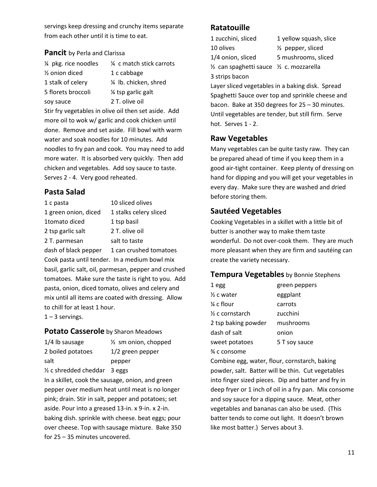servings keep dressing and crunchy items separate from each other until it is time to eat.

#### **Pancit** by Perla and Clarissa

| 1/4 pkg. rice noodles                                | 1/4 c match stick carrots |  |
|------------------------------------------------------|---------------------------|--|
| $\frac{1}{2}$ onion diced                            | 1 c cabbage               |  |
| 1 stalk of celery                                    | 1/4 lb. chicken, shred    |  |
| 5 florets broccoli                                   | 1/4 tsp garlic galt       |  |
| soy sauce                                            | 2 T. olive oil            |  |
| Stir fry vegetables in olive oil then set aside. Add |                           |  |
| more oil to wok w/ garlic and cook chicken until     |                           |  |
| done. Remove and set aside. Fill bowl with warm      |                           |  |
| water and soak noodles for 10 minutes. Add           |                           |  |
| noodles to fry pan and cook. You may need to add     |                           |  |
| more water. It is absorbed very quickly. Then add    |                           |  |
| chicken and vegetables. Add soy sauce to taste.      |                           |  |
| Serves 2 - 4. Very good reheated.                    |                           |  |

#### **Pasta Salad**

| 1 c pasta                                           | 10 sliced olives                                      |  |
|-----------------------------------------------------|-------------------------------------------------------|--|
| 1 green onion, diced                                | 1 stalks celery sliced                                |  |
| 1tomato diced                                       | 1 tsp basil                                           |  |
| 2 tsp garlic salt                                   | 2 T. olive oil                                        |  |
| 2 T. parmesan                                       | salt to taste                                         |  |
|                                                     | dash of black pepper 1 can crushed tomatoes           |  |
| Cook pasta until tender. In a medium bowl mix       |                                                       |  |
|                                                     | basil, garlic salt, oil, parmesan, pepper and crushed |  |
| tomatoes. Make sure the taste is right to you. Add  |                                                       |  |
| pasta, onion, diced tomato, olives and celery and   |                                                       |  |
| mix until all items are coated with dressing. Allow |                                                       |  |
| to chill for at least 1 hour.                       |                                                       |  |
| $1 - 3$ servings.                                   |                                                       |  |

#### **Potato Casserole** by Sharon Meadows

| 1/4 lb sausage         | $\frac{1}{2}$ sm onion, chopped |
|------------------------|---------------------------------|
| 2 boiled potatoes      | 1/2 green pepper                |
| salt                   | pepper                          |
| 1/2 c shredded cheddar | 3 eggs                          |

In a skillet, cook the sausage, onion, and green pepper over medium heat until meat is no longer pink; drain. Stir in salt, pepper and potatoes; set aside. Pour into a greased 13-in. x 9-in. x 2-in. baking dish. sprinkle with cheese. beat eggs; pour over cheese. Top with sausage mixture. Bake 350 for 25 – 35 minutes uncovered.

## **Ratatouille**

1 zucchini, sliced 1 yellow squash, slice 10 olives ½ pepper, sliced

1/4 onion, sliced 5 mushrooms, sliced

½ can spaghetti sauce ½ c. mozzarella 3 strips bacon

Layer sliced vegetables in a baking disk. Spread Spaghetti Sauce over top and sprinkle cheese and bacon. Bake at 350 degrees for 25 – 30 minutes. Until vegetables are tender, but still firm. Serve hot. Serves 1 - 2.

## **Raw Vegetables**

Many vegetables can be quite tasty raw. They can be prepared ahead of time if you keep them in a good air-tight container. Keep plenty of dressing on hand for dipping and you will get your vegetables in every day. Make sure they are washed and dried before storing them.

#### **Sautéed Vegetables**

Cooking Vegetables in a skillet with a little bit of butter is another way to make them taste wonderful. Do not over-cook them. They are much more pleasant when they are firm and sautéing can create the variety necessary.

#### **Tempura Vegetables** by Bonnie Stephens

| 1 egg                      | green peppers |
|----------------------------|---------------|
| $%$ c water                | eggplant      |
| $\frac{1}{4}$ c flour      | carrots       |
| $\frac{1}{2}$ c cornstarch | zucchini      |
| 2 tsp baking powder        | mushrooms     |
| dash of salt               | onion         |
| sweet potatoes             | 5 T soy sauce |
| ¾ c consome                |               |

Combine egg, water, flour, cornstarch, baking powder, salt. Batter will be thin. Cut vegetables into finger sized pieces. Dip and batter and fry in deep fryer or 1 inch of oil in a fry pan. Mix consome and soy sauce for a dipping sauce. Meat, other vegetables and bananas can also be used. (This batter tends to come out light. It doesn't brown like most batter.) Serves about 3.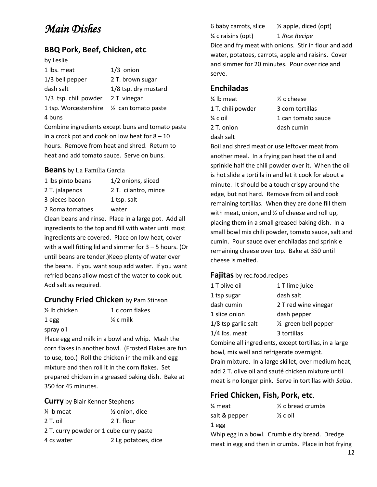# *Main Dishes*

## **BBQ Pork, Beef, Chicken, etc**.

| by Leslie                                  |                      |
|--------------------------------------------|----------------------|
| 1 lbs. meat                                | $1/3$ onion          |
| $1/3$ bell pepper                          | 2 T. brown sugar     |
| dash salt                                  | 1/8 tsp. dry mustard |
| $1/3$ tsp. chili powder                    | 2 T. vinegar         |
| 1 tsp. Worcestershire 1/2 can tomato paste |                      |
| 4 buns                                     |                      |

Combine ingredients except buns and tomato paste in a crock pot and cook on low heat for  $8 - 10$ hours. Remove from heat and shred. Return to heat and add tomato sauce. Serve on buns.

#### **Beans** by La Familia Garcia

| 1 lbs pinto beans                          | 1/2 onions, sliced   |
|--------------------------------------------|----------------------|
| 2 T. jalapenos                             | 2 T. cilantro, mince |
| 3 pieces bacon                             | 1 tsp. salt          |
| 2 Roma tomatoes                            | water                |
| Clase hoops and since Disco in a loves not |                      |

Clean beans and rinse. Place in a large pot. Add all ingredients to the top and fill with water until most ingredients are covered. Place on low heat, cover with a well fitting lid and simmer for  $3 - 5$  hours. (Or until beans are tender.)Keep plenty of water over the beans. If you want soup add water. If you want refried beans allow most of the water to cook out. Add salt as required.

#### **Crunchy Fried Chicken** by Pam Stinson

|       | $\frac{1}{2}$ lb chick |
|-------|------------------------|
| 1 egg |                        |
|       |                        |

en 1 c corn flakes  $\frac{1}{4}$  c milk

spray oil

Place egg and milk in a bowl and whip. Mash the corn flakes in another bowl. (Frosted Flakes are fun to use, too.) Roll the chicken in the milk and egg mixture and then roll it in the corn flakes. Set prepared chicken in a greased baking dish. Bake at 350 for 45 minutes.

**Curry** by Blair Kenner Stephens

| 1/4 lb meat                             | 1/ <sub>2</sub> onion, dice |  |
|-----------------------------------------|-----------------------------|--|
| 2 T. oil                                | 2 T. flour                  |  |
| 2 T. curry powder or 1 cube curry paste |                             |  |
| 4 cs water                              | 2 Lg potatoes, dice         |  |

6 baby carrots, slice  $\frac{1}{2}$  apple, diced (opt) ¼ c raisins (opt) 1 *Rice Recipe* Dice and fry meat with onions. Stir in flour and add water, potatoes, carrots, apple and raisins. Cover and simmer for 20 minutes. Pour over rice and serve.

#### **Enchiladas**

 $\frac{1}{4}$  lb meat  $\frac{1}{2}$  c cheese 2 T. onion dash cumin dash salt

1 T. chili powder 3 corn tortillas  $\frac{1}{4}$  c oil  $\frac{1}{1}$  can tomato sauce

Boil and shred meat or use leftover meat from another meal. In a frying pan heat the oil and sprinkle half the chili powder over it. When the oil is hot slide a tortilla in and let it cook for about a minute. It should be a touch crispy around the edge, but not hard. Remove from oil and cook remaining tortillas. When they are done fill them with meat, onion, and ½ of cheese and roll up, placing them in a small greased baking dish. In a small bowl mix chili powder, tomato sauce, salt and cumin. Pour sauce over enchiladas and sprinkle remaining cheese over top. Bake at 350 until cheese is melted.

#### **Fajitas** by rec.food.recipes

| 1 T olive oil       | 1 T lime juice                  |
|---------------------|---------------------------------|
| 1 tsp sugar         | dash salt                       |
| dash cumin          | 2 T red wine vinegar            |
| 1 slice onion       | dash pepper                     |
| 1/8 tsp garlic salt | $\frac{1}{2}$ green bell pepper |
| 1/4 lbs. meat       | 3 tortillas                     |

Combine all ingredients, except tortillas, in a large bowl, mix well and refrigerate overnight. Drain mixture. In a large skillet, over medium heat, add 2 T. olive oil and sauté chicken mixture until meat is no longer pink. Serve in tortillas with *Salsa*.

## **Fried Chicken, Fish, Pork, etc**.

| ¼ meat        | $\frac{1}{2}$ c bread crumbs |
|---------------|------------------------------|
| salt & pepper | $\frac{1}{2}$ c oil          |
| 1 egg         |                              |

Whip egg in a bowl. Crumble dry bread. Dredge meat in egg and then in crumbs. Place in hot frying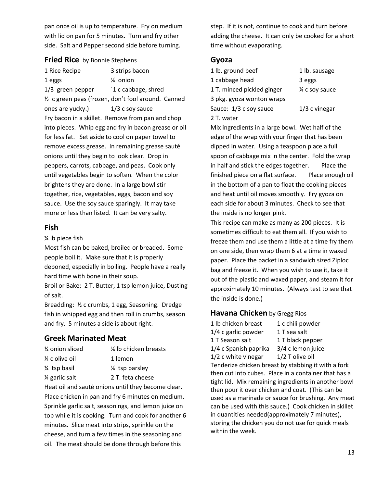pan once oil is up to temperature. Fry on medium with lid on pan for 5 minutes. Turn and fry other side. Salt and Pepper second side before turning.

#### **Fried Rice** by Bonnie Stephens

1 Rice Recipe 3 strips bacon 1 eggs ¼ onion 1/3 green pepper 1 c cabbage, shred ½ c green peas (frozen, don't fool around. Canned ones are yucky.) 1/3 c soy sauce Fry bacon in a skillet. Remove from pan and chop into pieces. Whip egg and fry in bacon grease or oil for less fat. Set aside to cool on paper towel to remove excess grease. In remaining grease sauté onions until they begin to look clear. Drop in peppers, carrots, cabbage, and peas. Cook only until vegetables begin to soften. When the color brightens they are done. In a large bowl stir together, rice, vegetables, eggs, bacon and soy sauce. Use the soy sauce sparingly. It may take more or less than listed. It can be very salty.

#### **Fish**

¼ lb piece fish

Most fish can be baked, broiled or breaded. Some people boil it. Make sure that it is properly deboned, especially in boiling. People have a really hard time with bone in their soup.

Broil or Bake: 2 T. Butter, 1 tsp lemon juice, Dusting of salt.

Breadding: ½ c crumbs, 1 egg, Seasoning. Dredge fish in whipped egg and then roll in crumbs, season and fry. 5 minutes a side is about right.

#### **Greek Marinated Meat**

| ¼ onion sliced  | 1/4 lb chicken breasts |
|-----------------|------------------------|
| ¼ c olive oil   | 1 lemon                |
| 1/4 tsp basil   | 1/4 tsp parsley        |
| 1/4 garlic salt | 2 T. feta cheese       |

Heat oil and sauté onions until they become clear. Place chicken in pan and fry 6 minutes on medium. Sprinkle garlic salt, seasonings, and lemon juice on top while it is cooking. Turn and cook for another 6 minutes. Slice meat into strips, sprinkle on the cheese, and turn a few times in the seasoning and oil. The meat should be done through before this

step. If it is not, continue to cook and turn before adding the cheese. It can only be cooked for a short time without evaporating.

#### **Gyoza**

| 1 lb. ground beef          | 1 lb. sausage   |
|----------------------------|-----------------|
| 1 cabbage head             | 3 eggs          |
| 1 T. minced pickled ginger | 1⁄4 c soy sauce |
| 3 pkg. gyoza wonton wraps  |                 |
| Sauce: 1/3 c soy sauce     | $1/3$ c vinegar |
| 2 T. water                 |                 |

ausage y sauce

Mix ingredients in a large bowl. Wet half of the edge of the wrap with your finger that has been dipped in water. Using a teaspoon place a full spoon of cabbage mix in the center. Fold the wrap in half and stick the edges together. Place the finished piece on a flat surface. Place enough oil in the bottom of a pan to float the cooking pieces and heat until oil moves smoothly. Fry gyoza on each side for about 3 minutes. Check to see that the inside is no longer pink.

This recipe can make as many as 200 pieces. It is sometimes difficult to eat them all. If you wish to freeze them and use them a little at a time fry them on one side, then wrap them 6 at a time in waxed paper. Place the packet in a sandwich sized Ziploc bag and freeze it. When you wish to use it, take it out of the plastic and waxed paper, and steam it for approximately 10 minutes. (Always test to see that the inside is done.)

#### **Havana Chicken** by Gregg Rios

1 lb chicken breast 1 c chili powder  $1/4$  c garlic powder  $1$  T sea salt 1 T Season salt 1 T black pepper 1/4 c Spanish paprika 3/4 c lemon juice  $1/2$  c white vinegar  $1/2$  T olive oil Tenderize chicken breast by stabbing it with a fork then cut into cubes. Place in a container that has a tight lid. Mix remaining ingredients in another bowl then pour it over chicken and coat. (This can be used as a marinade or sauce for brushing. Any meat can be used with this sauce.) Cook chicken in skillet in quantities needed(approximately 7 minutes), storing the chicken you do not use for quick meals within the week.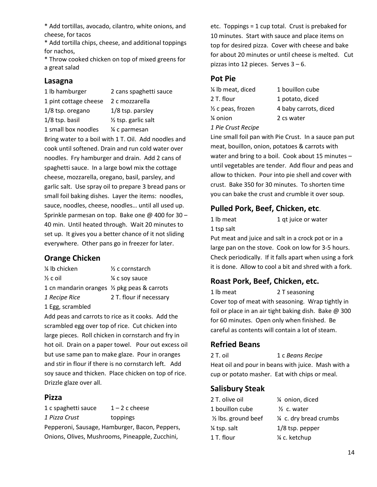\* Add tortillas, avocado, cilantro, white onions, and cheese, for tacos

\* Add tortilla chips, cheese, and additional toppings for nachos,

\* Throw cooked chicken on top of mixed greens for a great salad

#### **Lasagna**

1 lb hamburger 2 cans spaghetti sauce 1 pint cottage cheese 2 c mozzarella 1/8 tsp. oregano 1/8 tsp. parsley 1/8 tsp. basil ½ tsp. garlic salt

1 small box noodles ¼ c parmesan Bring water to a boil with 1 T. Oil. Add noodles and cook until softened. Drain and run cold water over noodles. Fry hamburger and drain. Add 2 cans of spaghetti sauce. In a large bowl mix the cottage cheese, mozzarella, oregano, basil, parsley, and garlic salt. Use spray oil to prepare 3 bread pans or small foil baking dishes. Layer the items: noodles, sauce, noodles, cheese, noodles… until all used up. Sprinkle parmesan on top. Bake one @ 400 for 30 – 40 min. Until heated through. Wait 20 minutes to set up. It gives you a better chance of it not sliding everywhere. Other pans go in freezer for later.

## **Orange Chicken**

| 1/4 lb chicken                               | 1/ <sub>2</sub> c cornstarch |
|----------------------------------------------|------------------------------|
| $\frac{1}{2}$ c oil                          | 1⁄4 c soy sauce              |
| 1 cn mandarin oranges 1/2 pkg peas & carrots |                              |
| 1 Recipe Rice                                | 2 T. flour if necessary      |
| 1 Egg, scrambled                             |                              |

Add peas and carrots to rice as it cooks. Add the scrambled egg over top of rice. Cut chicken into large pieces. Roll chicken in cornstarch and fry in hot oil. Drain on a paper towel. Pour out excess oil but use same pan to make glaze. Pour in oranges and stir in flour if there is no cornstarch left. Add soy sauce and thicken. Place chicken on top of rice. Drizzle glaze over all.

## **Pizza**

1 c spaghetti sauce  $1 - 2$  c cheese *1 Pizza Crust* toppings Pepperoni, Sausage, Hamburger, Bacon, Peppers, Onions, Olives, Mushrooms, Pineapple, Zucchini,

etc. Toppings = 1 cup total. Crust is prebaked for 10 minutes. Start with sauce and place items on top for desired pizza. Cover with cheese and bake for about 20 minutes or until cheese is melted. Cut pizzas into 12 pieces. Serves 3 – 6.

## **Pot Pie**

| % Ib meat, diced   | 1 bouillon cube       |
|--------------------|-----------------------|
| 2 T. flour         | 1 potato, diced       |
| ½ c peas, frozen   | 4 baby carrots, diced |
| ¼ onion            | 2 cs water            |
| 1 Pie Crust Recipe |                       |

Line small foil pan with Pie Crust. In a sauce pan put meat, bouillon, onion, potatoes & carrots with water and bring to a boil. Cook about 15 minutes – until vegetables are tender. Add flour and peas and allow to thicken. Pour into pie shell and cover with crust. Bake 350 for 30 minutes. To shorten time you can bake the crust and crumble it over soup.

## **Pulled Pork, Beef, Chicken, etc**.

| 1 lb meat  |
|------------|
| 1 tsp salt |

1 lb meat 1 qt juice or water

Put meat and juice and salt in a crock pot or in a large pan on the stove. Cook on low for 3-5 hours. Check periodically. If it falls apart when using a fork it is done. Allow to cool a bit and shred with a fork.

## **Roast Pork, Beef, Chicken, etc.**

1 lb meat 2 T seasoning Cover top of meat with seasoning. Wrap tightly in foil or place in an air tight baking dish. Bake @ 300 for 60 minutes. Open only when finished. Be careful as contents will contain a lot of steam.

## **Refried Beans**

2 T. oil 1 c *Beans Recipe* Heat oil and pour in beans with juice. Mash with a cup or potato masher. Eat with chips or meal.

## **Salisbury Steak**

| 2 T. olive oil                 | 1⁄4 onion, diced        |
|--------------------------------|-------------------------|
| 1 bouillon cube                | $\frac{1}{2}$ c. water  |
| $\frac{1}{2}$ lbs. ground beef | 1/4 c. dry bread crumbs |
| 1/4 tsp. salt                  | $1/8$ tsp. pepper       |
| 1 T. flour                     | 1/4 c. ketchup          |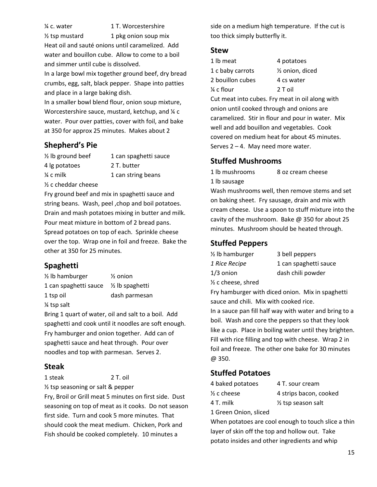¼ c. water 1 T. Worcestershire

 $\frac{1}{2}$  tsp mustard 1 pkg onion soup mix Heat oil and sauté onions until caramelized. Add water and bouillon cube. Allow to come to a boil and simmer until cube is dissolved.

In a large bowl mix together ground beef, dry bread crumbs, egg, salt, black pepper. Shape into patties and place in a large baking dish.

In a smaller bowl blend flour, onion soup mixture, Worcestershire sauce, mustard, ketchup, and  $\frac{1}{4}$  c water. Pour over patties, cover with foil, and bake at 350 for approx 25 minutes. Makes about 2

## **Shepherd's Pie**

| $\frac{1}{2}$ lb ground beef   | 1 can spaghetti sauce |
|--------------------------------|-----------------------|
| 4 lg potatoes                  | 2 T. butter           |
| $\frac{1}{4}$ c milk           | 1 can string beans    |
| $\frac{1}{2}$ c cheddar cheese |                       |

Fry ground beef and mix in spaghetti sauce and string beans. Wash, peel ,chop and boil potatoes. Drain and mash potatoes mixing in butter and milk. Pour meat mixture in bottom of 2 bread pans. Spread potatoes on top of each. Sprinkle cheese over the top. Wrap one in foil and freeze. Bake the other at 350 for 25 minutes.

## **Spaghetti**

| $\frac{1}{2}$ lb hamburger | $\frac{1}{2}$ onion        |
|----------------------------|----------------------------|
| 1 can spaghetti sauce      | $\frac{1}{2}$ lb spaghetti |
| 1 tsp oil                  | dash parmesan              |

¼ tsp salt

Bring 1 quart of water, oil and salt to a boil. Add spaghetti and cook until it noodles are soft enough. Fry hamburger and onion together. Add can of spaghetti sauce and heat through. Pour over noodles and top with parmesan. Serves 2.

## **Steak**

1 steak 2 T. oil

½ tsp seasoning or salt & pepper

Fry, Broil or Grill meat 5 minutes on first side. Dust seasoning on top of meat as it cooks. Do not season first side. Turn and cook 5 more minutes. That should cook the meat medium. Chicken, Pork and Fish should be cooked completely. 10 minutes a

side on a medium high temperature. If the cut is too thick simply butterfly it.

#### **Stew**

| 1 lb meat        | 4 potatoes                   |
|------------------|------------------------------|
| 1 c baby carrots | 1/ <sub>2</sub> onion, diced |
| 2 bouillon cubes | 4 cs water                   |
| ¼ c flour        | 2 T oil                      |
|                  |                              |

Cut meat into cubes. Fry meat in oil along with onion until cooked through and onions are caramelized. Stir in flour and pour in water. Mix well and add bouillon and vegetables. Cook covered on medium heat for about 45 minutes. Serves  $2 - 4$ . May need more water.

## **Stuffed Mushrooms**

1 lb mushrooms 8 oz cream cheese 1 lb sausage

Wash mushrooms well, then remove stems and set on baking sheet. Fry sausage, drain and mix with cream cheese. Use a spoon to stuff mixture into the cavity of the mushroom. Bake @ 350 for about 25 minutes. Mushroom should be heated through.

## **Stuffed Peppers**

| 1/ <sub>2</sub> lb hamburger    | 3 bell peppers        |
|---------------------------------|-----------------------|
| 1 Rice Recipe                   | 1 can spaghetti sauce |
| 1/3 onion                       | dash chili powder     |
| 1/ <sub>2</sub> c cheese, shred |                       |

Fry hamburger with diced onion. Mix in spaghetti sauce and chili. Mix with cooked rice.

In a sauce pan fill half way with water and bring to a boil. Wash and core the peppers so that they look like a cup. Place in boiling water until they brighten. Fill with rice filling and top with cheese. Wrap 2 in foil and freeze. The other one bake for 30 minutes @ 350.

## **Stuffed Potatoes**

| 4 baked potatoes   | 4 T. sour cream               |
|--------------------|-------------------------------|
| $\%$ c cheese $\,$ | 4 strips bacon, cooked        |
| 4 T. milk          | $\frac{1}{2}$ tsp season salt |
|                    |                               |

1 Green Onion, sliced

When potatoes are cool enough to touch slice a thin layer of skin off the top and hollow out. Take potato insides and other ingredients and whip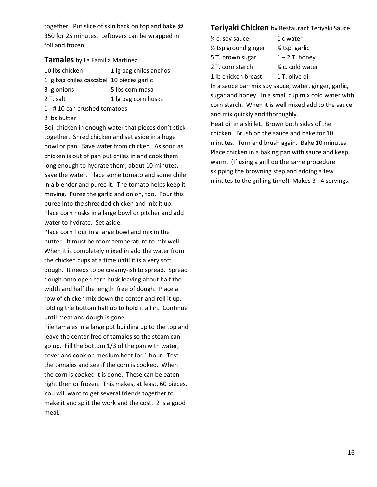together. Put slice of skin back on top and bake @ 350 for 25 minutes. Leftovers can be wrapped in foil and frozen.

#### **Tamales** by La Familia Martinez

| 10 lbs chicken                            | 1 lg bag chiles anchos |
|-------------------------------------------|------------------------|
| 1 lg bag chiles cascabel 10 pieces garlic |                        |
| 3 lg onions                               | 5 lbs corn masa        |

- 2 T. salt 1 lg bag corn husks
- 1 # 10 can crushed tomatoes

#### 2 lbs butter

Boil chicken in enough water that pieces don't stick together. Shred chicken and set aside in a huge bowl or pan. Save water from chicken. As soon as chicken is out of pan put chiles in and cook them long enough to hydrate them; about 10 minutes. Save the water. Place some tomato and some chile in a blender and puree it. The tomato helps keep it moving. Puree the garlic and onion, too. Pour this puree into the shredded chicken and mix it up. Place corn husks in a large bowl or pitcher and add water to hydrate. Set aside.

Place corn flour in a large bowl and mix in the butter. It must be room temperature to mix well. When it is completely mixed in add the water from the chicken cups at a time until it is a very soft dough. It needs to be creamy-ish to spread. Spread dough onto open corn husk leaving about half the width and half the length free of dough. Place a row of chicken mix down the center and roll it up, folding the bottom half up to hold it all in. Continue until meat and dough is gone.

Pile tamales in a large pot building up to the top and leave the center free of tamales so the steam can go up. Fill the bottom 1/3 of the pan with water, cover and cook on medium heat for 1 hour. Test the tamales and see if the corn is cooked. When the corn is cooked it is done. These can be eaten right then or frozen. This makes, at least, 60 pieces. You will want to get several friends together to make it and split the work and the cost. 2 is a good meal.

#### **Teriyaki Chicken** by Restaurant Teriyaki Sauce

- $\frac{1}{4}$  c. soy sauce 1 c water  $\frac{1}{2}$  tsp ground ginger  $\frac{1}{4}$  tsp. garlic 5 T. brown sugar  $1 - 2$  T. honey 2 T. corn starch ¼ c. cold water 1 lb chicken breast 1 T. olive oil
- In a sauce pan mix soy sauce, water, ginger, garlic, sugar and honey. In a small cup mix cold water with corn starch. When it is well mixed add to the sauce and mix quickly and thoroughly.

Heat oil in a skillet. Brown both sides of the chicken. Brush on the sauce and bake for 10 minutes. Turn and brush again. Bake 10 minutes. Place chicken in a baking pan with sauce and keep warm. (If using a grill do the same procedure skipping the browning step and adding a few minutes to the grilling time!) Makes 3 - 4 servings.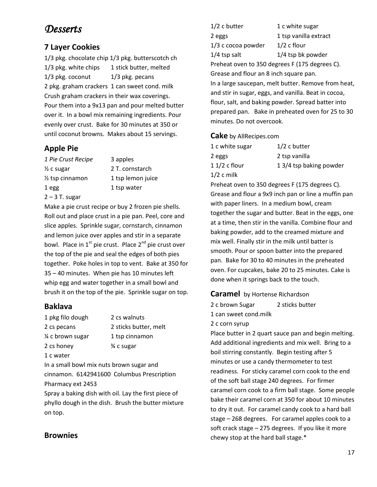# *Desserts*

## **7 Layer Cookies**

1/3 pkg. chocolate chip 1/3 pkg. butterscotch ch 1/3 pkg. white chips 1 stick butter, melted 1/3 pkg. coconut 1/3 pkg. pecans 2 pkg. graham crackers 1 can sweet cond. milk Crush graham crackers in their wax coverings. Pour them into a 9x13 pan and pour melted butter over it. In a bowl mix remaining ingredients. Pour evenly over crust. Bake for 30 minutes at 350 or until coconut browns. Makes about 15 servings.

## **Apple Pie**

| 1 Pie Crust Recipe           | 3 apples          |
|------------------------------|-------------------|
| $\frac{1}{2}$ c sugar        | 2 T. cornstarch   |
| 1/ <sub>2</sub> tsp cinnamon | 1 tsp lemon juice |
| 1 egg                        | 1 tsp water       |
| $2 - 3$ T. sugar             |                   |

Make a pie crust recipe or buy 2 frozen pie shells. Roll out and place crust in a pie pan. Peel, core and slice apples. Sprinkle sugar, cornstarch, cinnamon and lemon juice over apples and stir in a separate bowl. Place in  $1^{st}$  pie crust. Place  $2^{nd}$  pie crust over the top of the pie and seal the edges of both pies together. Poke holes in top to vent. Bake at 350 for 35 – 40 minutes. When pie has 10 minutes left whip egg and water together in a small bowl and brush it on the top of the pie. Sprinkle sugar on top.

## **Baklava**

1 pkg filo dough 2 cs walnuts 2 cs pecans 2 sticks butter, melt ¼ c brown sugar 1 tsp cinnamon 2 cs honey  $\frac{3}{4}$  c sugar 1 c water

In a small bowl mix nuts brown sugar and cinnamon. 6142941600 Columbus Prescription Pharmacy ext 2453

Spray a baking dish with oil. Lay the first piece of phyllo dough in the dish. Brush the butter mixture on top.

#### 1/2 c butter 1 c white sugar 2 eggs 1 tsp vanilla extract  $1/3$  c cocoa powder  $1/2$  c flour  $1/4$  tsp salt  $1/4$  tsp bk powder Preheat oven to 350 degrees F (175 degrees C). Grease and flour an 8 inch square pan. In a large saucepan, melt butter. Remove from heat, and stir in sugar, eggs, and vanilla. Beat in cocoa, flour, salt, and baking powder. Spread batter into prepared pan. Bake in preheated oven for 25 to 30 minutes. Do not overcook.

#### **Cake** by AllRecipes.com

| 1 c white sugar | $1/2$ c butter          |
|-----------------|-------------------------|
| 2 eggs          | 2 tsp vanilla           |
| 1 1/2 c flour   | 1 3/4 tsp baking powder |
| $1/2$ c milk    |                         |

Preheat oven to 350 degrees F (175 degrees C). Grease and flour a 9x9 inch pan or line a muffin pan with paper liners. In a medium bowl, cream together the sugar and butter. Beat in the eggs, one at a time, then stir in the vanilla. Combine flour and baking powder, add to the creamed mixture and mix well. Finally stir in the milk until batter is smooth. Pour or spoon batter into the prepared pan. Bake for 30 to 40 minutes in the preheated oven. For cupcakes, bake 20 to 25 minutes. Cake is done when it springs back to the touch.

#### **Caramel** by Hortense Richardson

2 c brown Sugar 2 sticks butter

1 can sweet cond.milk

#### 2 c corn syrup

Place butter in 2 quart sauce pan and begin melting. Add additional ingredients and mix well. Bring to a boil stirring constantly. Begin testing after 5 minutes or use a candy thermometer to test readiness. For sticky caramel corn cook to the end of the soft ball stage 240 degrees. For firmer caramel corn cook to a firm ball stage. Some people bake their caramel corn at 350 for about 10 minutes to dry it out. For caramel candy cook to a hard ball stage – 268 degrees. For caramel apples cook to a soft crack stage – 275 degrees. If you like it more chewy stop at the hard ball stage.\*

## **Brownies**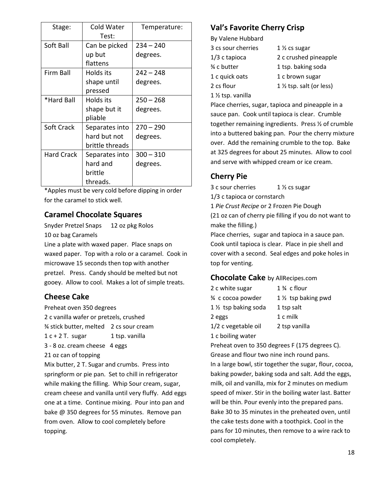| Stage:            | Cold Water      | Temperature: |
|-------------------|-----------------|--------------|
|                   | Test:           |              |
| Soft Ball         | Can be picked   | $234 - 240$  |
|                   | up but          | degrees.     |
|                   | flattens        |              |
| Firm Ball         | Holds its       | $242 - 248$  |
|                   | shape until     | degrees.     |
|                   | pressed         |              |
| *Hard Ball        | Holds its       | $250 - 268$  |
|                   | shape but it    | degrees.     |
|                   | pliable         |              |
| Soft Crack        | Separates into  | $270 - 290$  |
|                   | hard but not    | degrees.     |
|                   | brittle threads |              |
| <b>Hard Crack</b> | Separates into  | $300 - 310$  |
|                   | hard and        | degrees.     |
|                   | brittle         |              |
|                   | threads.        |              |

\*Apples must be very cold before dipping in order for the caramel to stick well.

## **Caramel Chocolate Squares**

Snyder Pretzel Snaps 12 oz pkg Rolos 10 oz bag Caramels

Line a plate with waxed paper. Place snaps on waxed paper. Top with a rolo or a caramel. Cook in microwave 15 seconds then top with another pretzel. Press. Candy should be melted but not gooey. Allow to cool. Makes a lot of simple treats.

## **Cheese Cake**

Preheat oven 350 degrees

- 2 c vanilla wafer or pretzels, crushed
- ¾ stick butter, melted 2 cs sour cream

 $1 c + 2 T$ . sugar 1 tsp. vanilla

3 - 8 oz. cream cheese 4 eggs

21 oz can of topping

Mix butter, 2 T. Sugar and crumbs. Press into springform or pie pan. Set to chill in refrigerator while making the filling. Whip Sour cream, sugar, cream cheese and vanilla until very fluffy. Add eggs one at a time. Continue mixing. Pour into pan and bake @ 350 degrees for 55 minutes. Remove pan from oven. Allow to cool completely before topping.

## **Val's Favorite Cherry Crisp**

By Valene Hubbard

3 cs sour cherries 1 ½ cs sugar 1/3 c tapioca 2 c crushed pineapple ¾ c butter 1 tsp. baking soda 1 c quick oats 1 c brown sugar 2 cs flour  $1 \frac{1}{2}$  tsp. salt (or less) 1 ½ tsp. vanilla

Place cherries, sugar, tapioca and pineapple in a sauce pan. Cook until tapioca is clear. Crumble together remaining ingredients. Press ½ of crumble into a buttered baking pan. Pour the cherry mixture over. Add the remaining crumble to the top. Bake at 325 degrees for about 25 minutes. Allow to cool and serve with whipped cream or ice cream.

## **Cherry Pie**

3 c sour cherries 1 ½ cs sugar 1/3 c tapioca or cornstarch 1 *Pie Crust Recipe* or 2 Frozen Pie Dough (21 oz can of cherry pie filling if you do not want to make the filling.)

Place cherries, sugar and tapioca in a sauce pan. Cook until tapioca is clear. Place in pie shell and cover with a second. Seal edges and poke holes in top for venting.

## **Chocolate Cake** by AllRecipes.com

| 2 c white sugar                   | $1\%$ c flour        |
|-----------------------------------|----------------------|
| 3⁄4 c cocoa powder                | 1 1/2 tsp baking pwd |
| 1 1/ <sub>2</sub> tsp baking soda | 1 tsp salt           |
| 2 eggs                            | 1 c milk             |
| 1/2 c vegetable oil               | 2 tsp vanilla        |
|                                   |                      |

1 c boiling water

Preheat oven to 350 degrees F (175 degrees C). Grease and flour two nine inch round pans. In a large bowl, stir together the sugar, flour, cocoa, baking powder, baking soda and salt. Add the eggs, milk, oil and vanilla, mix for 2 minutes on medium speed of mixer. Stir in the boiling water last. Batter will be thin. Pour evenly into the prepared pans. Bake 30 to 35 minutes in the preheated oven, until the cake tests done with a toothpick. Cool in the pans for 10 minutes, then remove to a wire rack to cool completely.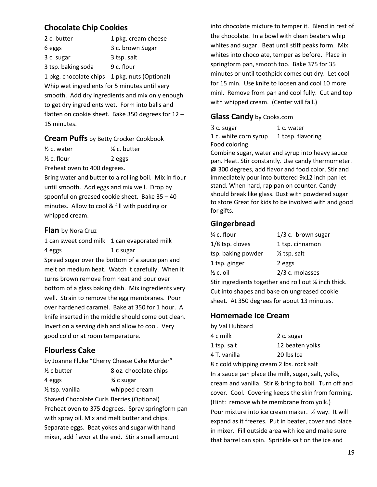## **Chocolate Chip Cookies**

| 2 c. butter                                     | 1 pkg. cream cheese                                  |
|-------------------------------------------------|------------------------------------------------------|
| 6 eggs                                          | 3 c. brown Sugar                                     |
| 3 c. sugar                                      | 3 tsp. salt                                          |
| 3 tsp. baking soda                              | 9 c. flour                                           |
| 1 pkg. chocolate chips 1 pkg. nuts (Optional)   |                                                      |
| Whip wet ingredients for 5 minutes until very   |                                                      |
|                                                 | smooth. Add dry ingredients and mix only enough      |
| to get dry ingredients wet. Form into balls and |                                                      |
|                                                 | flatten on cookie sheet. Bake 350 degrees for $12 -$ |
| 15 minutes.                                     |                                                      |

#### **Cream Puffs** by Betty Crocker Cookbook

 $\frac{1}{2}$  c. water  $\frac{1}{2}$  c. butter  $\frac{1}{2}$  c. flour 2 eggs

Preheat oven to 400 degrees.

Bring water and butter to a rolling boil. Mix in flour until smooth. Add eggs and mix well. Drop by spoonful on greased cookie sheet. Bake 35 – 40 minutes. Allow to cool & fill with pudding or whipped cream.

#### **Flan** by Nora Cruz

1 can sweet cond milk 1 can evaporated milk 4 eggs 1 c sugar Spread sugar over the bottom of a sauce pan and melt on medium heat. Watch it carefully. When it turns brown remove from heat and pour over bottom of a glass baking dish. Mix ingredients very well. Strain to remove the egg membranes. Pour over hardened caramel. Bake at 350 for 1 hour. A knife inserted in the middle should come out clean. Invert on a serving dish and allow to cool. Very good cold or at room temperature.

## **Flourless Cake**

by Joanne Fluke "Cherry Cheese Cake Murder" ½ c butter 8 oz. chocolate chips 4 eggs  $\frac{3}{4}$  c sugar  $\frac{1}{2}$  tsp. vanilla whipped cream Shaved Chocolate Curls Berries (Optional) Preheat oven to 375 degrees. Spray springform pan with spray oil. Mix and melt butter and chips. Separate eggs. Beat yokes and sugar with hand mixer, add flavor at the end. Stir a small amount

into chocolate mixture to temper it. Blend in rest of the chocolate. In a bowl with clean beaters whip whites and sugar. Beat until stiff peaks form. Mix whites into chocolate, temper as before. Place in springform pan, smooth top. Bake 375 for 35 minutes or until toothpick comes out dry. Let cool for 15 min. Use knife to loosen and cool 10 more minl. Remove from pan and cool fully. Cut and top with whipped cream. (Center will fall.)

#### **Glass Candy** by Cooks.com

| 3 c. sugar            | 1 c. water        |
|-----------------------|-------------------|
| 1 c. white corn syrup | 1 tbsp. flavoring |
| Food coloring         |                   |

Combine sugar, water and syrup into heavy sauce pan. Heat. Stir constantly. Use candy thermometer. @ 300 degrees, add flavor and food color. Stir and immediately pour into buttered 9x12 inch pan let stand. When hard, rap pan on counter. Candy should break like glass. Dust with powdered sugar to store.Great for kids to be involved with and good for gifts.

#### **Gingerbread**

| 3⁄4 c. flour                                        | $1/3$ c. brown sugar    |
|-----------------------------------------------------|-------------------------|
| $1/8$ tsp. cloves                                   | 1 tsp. cinnamon         |
| tsp. baking powder                                  | $\frac{1}{2}$ tsp. salt |
| 1 tsp. ginger                                       | 2 eggs                  |
| $\frac{1}{2}$ c. oil                                | 2/3 c. molasses         |
| Stir ingradiants together and roll out 1/ inch this |                         |

Stir ingredients together and roll out ¼ inch thick. Cut into shapes and bake on ungreased cookie sheet. At 350 degrees for about 13 minutes.

## **Homemade Ice Cream**

| by Val Hubbard |                 |
|----------------|-----------------|
| 4 c milk       | 2 c. sugar      |
| 1 tsp. salt    | 12 beaten yolks |
| 4 T. vanilla   | 20 lbs Ice      |

8 c cold whipping cream 2 lbs. rock salt In a sauce pan place the milk, sugar, salt, yolks, cream and vanilla. Stir & bring to boil. Turn off and cover. Cool. Covering keeps the skin from forming. (Hint: remove white membrane from yolk.) Pour mixture into ice cream maker. ½ way. It will expand as it freezes. Put in beater, cover and place in mixer. Fill outside area with ice and make sure that barrel can spin. Sprinkle salt on the ice and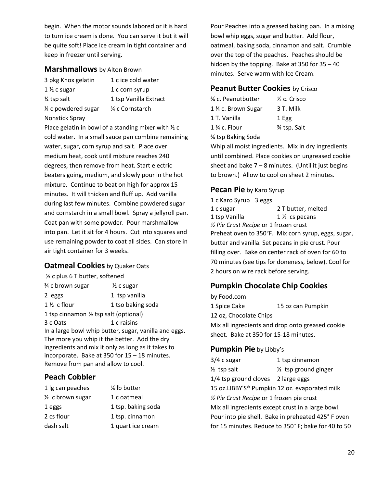begin. When the motor sounds labored or it is hard to turn ice cream is done. You can serve it but it will be quite soft! Place ice cream in tight container and keep in freezer until serving.

#### **Marshmallows** by Alton Brown

- 3 pkg Knox gelatin 1 c ice cold water 1 ½ c sugar 1 c corn syrup ¼ tsp salt 1 tsp Vanilla Extract ¼ c powdered sugar ¼ c Cornstarch Nonstick Spray
- 

Place gelatin in bowl of a standing mixer with ½ c cold water. In a small sauce pan combine remaining water, sugar, corn syrup and salt. Place over medium heat, cook until mixture reaches 240 degrees, then remove from heat. Start electric beaters going, medium, and slowly pour in the hot mixture. Continue to beat on high for approx 15 minutes. It will thicken and fluff up. Add vanilla during last few minutes. Combine powdered sugar and cornstarch in a small bowl. Spray a jellyroll pan. Coat pan with some powder. Pour marshmallow into pan. Let it sit for 4 hours. Cut into squares and use remaining powder to coat all sides. Can store in air tight container for 3 weeks.

#### **Oatmeal Cookies** by Quaker Oats

| 1/2 c plus 6 T butter, softened                       |                       |  |
|-------------------------------------------------------|-----------------------|--|
| % c brown sugar                                       | $\frac{1}{2}$ c sugar |  |
| 2 eggs                                                | 1 tsp vanilla         |  |
| $1\frac{1}{2}$ c flour                                | 1 tso baking soda     |  |
| 1 tsp cinnamon $\frac{1}{2}$ tsp salt (optional)      |                       |  |
| 3 c Oats                                              | 1 c raisins           |  |
| In a large bowl whip butter, sugar, vanilla and eggs. |                       |  |
| The more you whip it the better. Add the dry          |                       |  |
| ingredients and mix it only as long as it takes to    |                       |  |
| incorporate. Bake at 350 for 15 - 18 minutes.         |                       |  |
| Remove from pan and allow to cool.                    |                       |  |

## **Peach Cobbler**

| 1 lg can peaches            | 1/4 lb butter      |
|-----------------------------|--------------------|
| $\frac{1}{2}$ c brown sugar | 1 c oatmeal        |
| 1 eggs                      | 1 tsp. baking soda |
| 2 cs flour                  | 1 tsp. cinnamon    |
| dash salt                   | 1 quart ice cream  |

Pour Peaches into a greased baking pan. In a mixing bowl whip eggs, sugar and butter. Add flour, oatmeal, baking soda, cinnamon and salt. Crumble over the top of the peaches. Peaches should be hidden by the topping. Bake at 350 for 35 – 40 minutes. Serve warm with Ice Cream.

#### **Peanut Butter Cookies** by Crisco

| % c. Peanutbutter  | $\frac{1}{2}$ c. Crisco |
|--------------------|-------------------------|
| 1 % c. Brown Sugar | 3 T. Milk               |
| 1 T. Vanilla       | 1 Egg                   |
| $1\%$ c. Flour     | <b>%</b> tsp. Salt      |
| % tsp Baking Soda  |                         |

Whip all moist ingredients. Mix in dry ingredients until combined. Place cookies on ungreased cookie sheet and bake  $7 - 8$  minutes. (Until it just begins to brown.) Allow to cool on sheet 2 minutes.

#### **Pecan Pie** by Karo Syrup

| 1 c Karo Syrup 3 eggs                             |                                                     |
|---------------------------------------------------|-----------------------------------------------------|
| 1 c sugar                                         | 2 T butter, melted                                  |
| 1 tsp Vanilla                                     | $1\frac{1}{2}$ cs pecans                            |
| 1/2 Pie Crust Recipe or 1 frozen crust            |                                                     |
|                                                   | Preheat oven to 350°F. Mix corn syrup, eggs, sugar, |
| butter and vanilla. Set pecans in pie crust. Pour |                                                     |
|                                                   | filling over. Bake on center rack of oven for 60 to |
|                                                   | 70 minutes (see tips for doneness, below). Cool for |
| 2 hours on wire rack before serving.              |                                                     |
|                                                   |                                                     |

## **Pumpkin Chocolate Chip Cookies**

| by Food.com                                      |                   |  |
|--------------------------------------------------|-------------------|--|
| 1 Spice Cake                                     | 15 oz can Pumpkin |  |
| 12 oz, Chocolate Chips                           |                   |  |
| Mix all ingredients and drop onto greased cookie |                   |  |
| sheet. Bake at 350 for 15-18 minutes.            |                   |  |
|                                                  |                   |  |

## **Pumpkin Pie** by Libby's

| 3/4 c sugar                                       | 1 tsp cinnamon                                            |  |
|---------------------------------------------------|-----------------------------------------------------------|--|
| $\frac{1}{2}$ tsp salt                            | $\frac{1}{2}$ tsp ground ginger                           |  |
| 1/4 tsp ground cloves                             | 2 large eggs                                              |  |
|                                                   | 15 oz.LIBBY'S <sup>®</sup> Pumpkin 12 oz. evaporated milk |  |
| 1/2 Pie Crust Recipe or 1 frozen pie crust        |                                                           |  |
| Mix all ingredients except crust in a large bowl. |                                                           |  |
|                                                   | Pour into pie shell. Bake in preheated 425°F oven         |  |
|                                                   | for 15 minutes. Reduce to 350° F; bake for 40 to 50       |  |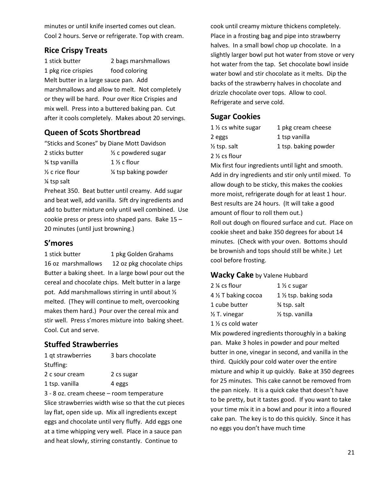minutes or until knife inserted comes out clean. Cool 2 hours. Serve or refrigerate. Top with cream.

## **Rice Crispy Treats**

1 stick butter 2 bags marshmallows 1 pkg rice crispies food coloring Melt butter in a large sauce pan. Add marshmallows and allow to melt. Not completely or they will be hard. Pour over Rice Crispies and mix well. Press into a buttered baking pan. Cut after it cools completely. Makes about 20 servings.

## **Queen of Scots Shortbread**

"Sticks and Scones" by Diane Mott Davidson 2 sticks butter ½ c powdered sugar  $\frac{3}{4}$  tsp vanilla  $\frac{1}{2}$  c flour  $\frac{1}{2}$  c rice flour  $\frac{1}{2}$  isp baking powder ¼ tsp salt

Preheat 350. Beat butter until creamy. Add sugar and beat well, add vanilla. Sift dry ingredients and add to butter mixture only until well combined. Use cookie press or press into shaped pans. Bake 15 – 20 minutes (until just browning.)

#### **S'mores**

1 stick butter 1 pkg Golden Grahams 16 oz marshmallows 12 oz pkg chocolate chips Butter a baking sheet. In a large bowl pour out the cereal and chocolate chips. Melt butter in a large pot. Add marshmallows stirring in until about ½ melted. (They will continue to melt, overcooking makes them hard.) Pour over the cereal mix and stir well. Press s'mores mixture into baking sheet. Cool. Cut and serve.

## **Stuffed Strawberries**

| 1 gt strawberries | 3 bars chocolate |
|-------------------|------------------|
| Stuffing:         |                  |
| 2 c sour cream    | 2 cs sugar       |
| 1 tsp. vanilla    | 4 eggs           |

3 - 8 oz. cream cheese – room temperature Slice strawberries width wise so that the cut pieces lay flat, open side up. Mix all ingredients except eggs and chocolate until very fluffy. Add eggs one at a time whipping very well. Place in a sauce pan and heat slowly, stirring constantly. Continue to

cook until creamy mixture thickens completely. Place in a frosting bag and pipe into strawberry halves. In a small bowl chop up chocolate. In a slightly larger bowl put hot water from stove or very hot water from the tap. Set chocolate bowl inside water bowl and stir chocolate as it melts. Dip the backs of the strawberry halves in chocolate and drizzle chocolate over tops. Allow to cool. Refrigerate and serve cold.

#### **Sugar Cookies**

| 1 1/2 cs white sugar     | 1 pkg cream   |
|--------------------------|---------------|
| 2 eggs                   | 1 tsp vanilla |
| $\frac{1}{2}$ tsp. salt  | 1 tsp. baking |
| 2 $\frac{1}{2}$ cs flour |               |

1  $\frac{1}{2}$  cs white sugar 1 pkg cream cheese  $\frac{1}{2}$  tsp. salt 1 tsp. baking powder

Mix first four ingredients until light and smooth. Add in dry ingredients and stir only until mixed. To allow dough to be sticky, this makes the cookies more moist, refrigerate dough for at least 1 hour. Best results are 24 hours. (It will take a good amount of flour to roll them out.) Roll out dough on floured surface and cut. Place on cookie sheet and bake 350 degrees for about 14 minutes. (Check with your oven. Bottoms should be brownish and tops should still be white.) Let cool before frosting.

#### **Wacky Cake** by Valene Hubbard

| 2 ¼ cs flour                  | $1\%$ c sugar              |
|-------------------------------|----------------------------|
| 4 % T baking cocoa            | 1 1/2 tsp. baking soda     |
| 1 cube butter                 | % tsp. salt                |
| ½ T. vinegar                  | $\frac{1}{2}$ tsp. vanilla |
| 1 $\frac{1}{2}$ cs cold water |                            |

Mix powdered ingredients thoroughly in a baking pan. Make 3 holes in powder and pour melted butter in one, vinegar in second, and vanilla in the third. Quickly pour cold water over the entire mixture and whip it up quickly. Bake at 350 degrees for 25 minutes. This cake cannot be removed from the pan nicely. It is a quick cake that doesn't have to be pretty, but it tastes good. If you want to take your time mix it in a bowl and pour it into a floured cake pan. The key is to do this quickly. Since it has no eggs you don't have much time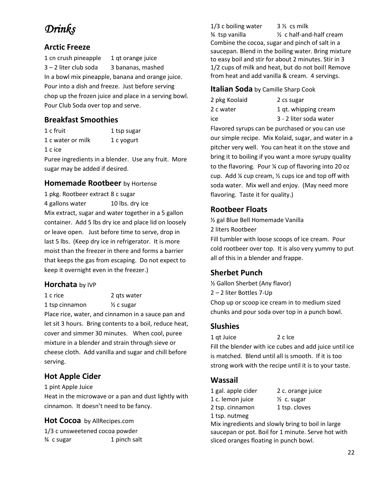# *Drinks*

## **Arctic Freeze**

1 cn crush pineapple 1 qt orange juice 3 – 2 liter club soda 3 bananas, mashed In a bowl mix pineapple, banana and orange juice. Pour into a dish and freeze. Just before serving chop up the frozen juice and place in a serving bowl. Pour Club Soda over top and serve.

## **Breakfast Smoothies**

1 c fruit 1 tsp sugar 1 c water or milk 1 c yogurt 1 c ice

Puree ingredients in a blender. Use any fruit. More sugar may be added if desired.

#### **Homemade Rootbeer** by Hortense

1 pkg. Rootbeer extract 8 c sugar 4 gallons water 10 lbs. dry ice Mix extract, sugar and water together in a 5 gallon container. Add 5 lbs dry ice and place lid on loosely or leave open. Just before time to serve, drop in last 5 lbs. (Keep dry ice in refrigerator. It is more moist than the freezer in there and forms a barrier that keeps the gas from escaping. Do not expect to keep it overnight even in the freezer.)

#### **Horchata** by IVP

1 c rice 2 qts water 1 tsp cinnamon ½ c sugar Place rice, water, and cinnamon in a sauce pan and let sit 3 hours. Bring contents to a boil, reduce heat, cover and simmer 30 minutes. When cool, puree mixture in a blender and strain through sieve or cheese cloth. Add vanilla and sugar and chill before serving.

## **Hot Apple Cider**

1 pint Apple Juice

Heat in the microwave or a pan and dust lightly with cinnamon. It doesn't need to be fancy.

#### **Hot Cocoa** by AllRecipes.com

1/3 c unsweetened cocoa powder  $\frac{3}{4}$  c sugar 1 pinch salt

1/3 c boiling water  $3\frac{1}{2}$  cs milk  $\frac{3}{4}$  tsp vanilla  $\frac{1}{2}$  c half-and-half cream Combine the cocoa, sugar and pinch of salt in a saucepan. Blend in the boiling water. Bring mixture to easy boil and stir for about 2 minutes. Stir in 3 1/2 cups of milk and heat, but do not boil! Remove from heat and add vanilla & cream. 4 servings.

#### **Italian Soda** by Camille Sharp Cook

| 2 pkg Koolaid | 2 cs sugar             |
|---------------|------------------------|
| 2 c water     | 1 qt. whipping cream   |
| ice           | 3 - 2 liter soda water |

Flavored syrups can be purchased or you can use our simple recipe. Mix Kolaid, sugar, and water in a pitcher very well. You can heat it on the stove and bring it to boiling if you want a more syrupy quality to the flavoring. Pour ¼ cup of flavoring into 20 oz cup. Add ¼ cup cream, ½ cups ice and top off with soda water. Mix well and enjoy. (May need more flavoring. Taste it for quality.)

## **Rootbeer Floats**

½ gal Blue Bell Homemade Vanilla 2 liters Rootbeer

Fill tumbler with loose scoops of ice cream. Pour cold rootbeer over top. It is also very yummy to put all of this in a blender and frappe.

## **Sherbet Punch**

½ Gallon Sherbet (Any flavor) 2 – 2 liter Bottles 7-Up Chop up or scoop ice cream in to medium sized chunks and pour soda over top in a punch bowl.

#### **Slushies**

1 qt Juice 2 c Ice Fill the blender with ice cubes and add juice until ice is matched. Blend until all is smooth. If it is too strong work with the recipe until it is to your taste.

## **Wassail**

1 gal. apple cider 2 c. orange juice 1 c. lemon juice ½ c. sugar 2 tsp. cinnamon 1 tsp. cloves 1 tsp. nutmeg

Mix ingredients and slowly bring to boil in large saucepan or pot. Boil for 1 minute. Serve hot with sliced oranges floating in punch bowl.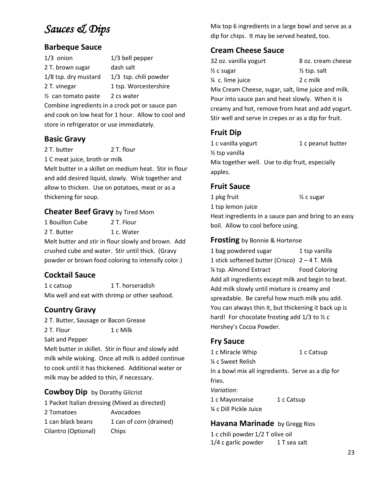# *Sauces & Dips*

## **Barbeque Sauce**

| $1/3$ onion                                     | $1/3$ bell pepper                                  |
|-------------------------------------------------|----------------------------------------------------|
| 2 T. brown sugar                                | dash salt                                          |
| 1/8 tsp. dry mustard                            | 1/3 tsp. chili powder                              |
| 2 T. vinegar                                    | 1 tsp. Worcestershire                              |
| $\frac{1}{2}$ can tomato paste                  | 2 cs water                                         |
| Combine ingredients in a crock pot or sauce pan |                                                    |
|                                                 | and cook on low heat for 1 hour. Allow to cool and |

and cook on low heat for 1 hour. Allow to cool and store in refrigerator or use immediately.

## **Basic Gravy**

2 T. butter 2 T. flour

1 C meat juice, broth or milk

Melt butter in a skillet on medium heat. Stir in flour and add desired liquid, slowly. Wisk together and allow to thicken. Use on potatoes, meat or as a thickening for soup.

## **Cheater Beef Gravy** by Tired Mom

1 Bouillon Cube 2 T. Flour

2 T. Butter 1 c. Water

Melt butter and stir in flour slowly and brown. Add crushed cube and water. Stir until thick. (Gravy powder or brown food coloring to intensify color.)

## **Cocktail Sauce**

1 c catsup 1 T. horseradish Mix well and eat with shrimp or other seafood.

## **Country Gravy**

2 T. Butter, Sausage or Bacon Grease 2 T. Flour 1 c Milk

Salt and Pepper

Melt butter in skillet. Stir in flour and slowly add milk while wisking. Once all milk is added continue to cook until it has thickened. Additional water or milk may be added to thin, if necessary.

## **Cowboy Dip** by Dorathy Gilcrist

1 Packet Italian dressing (Mixed as directed) 2 Tomatoes Avocadoes 1 can black beans 1 can of corn (drained) Cilantro (Optional) Chips

Mix top 6 ingredients in a large bowl and serve as a dip for chips. It may be served heated, too.

## **Cream Cheese Sauce**

| 32 oz. vanilla yogurt                               | 8 oz. cream cheese      |
|-----------------------------------------------------|-------------------------|
| ½ c sugar                                           | $\frac{1}{2}$ tsp. salt |
| ¼ c. lime juice                                     | 2 c milk                |
| Mix Cream Cheese, sugar, salt, lime juice and milk. |                         |

Pour into sauce pan and heat slowly. When it is creamy and hot, remove from heat and add yogurt. Stir well and serve in crepes or as a dip for fruit.

## **Fruit Dip**

1 c vanilla yogurt 1 c peanut butter ½ tsp vanilla Mix together well. Use to dip fruit, especially apples.

## **Fruit Sauce**

1 pkg fruit  $\frac{1}{2}$  c sugar 1 tsp lemon juice Heat ingredients in a sauce pan and bring to an easy boil. Allow to cool before using.

#### **Frosting** by Bonnie & Hortense

1 bag powdered sugar 1 tsp vanilla 1 stick softened butter (Crisco) 2 – 4 T. Milk ¼ tsp. Almond Extract Food Coloring Add all ingredients except milk and begin to beat. Add milk slowly until mixture is creamy and spreadable. Be careful how much milk you add. You can always thin it, but thickening it back up is hard! For chocolate frosting add 1/3 to 1/2 c Hershey's Cocoa Powder.

## **Fry Sauce**

1 c Miracle Whip 1 c Catsup ¼ c Sweet Relish In a bowl mix all ingredients. Serve as a dip for fries. *Variation*: 1 c Mayonnaise 1 c Catsup ¼ c Dill Pickle Juice

## **Havana Marinade** by Gregg Rios

1 c chili powder 1/2 T olive oil 1/4 c garlic powder 1 T sea salt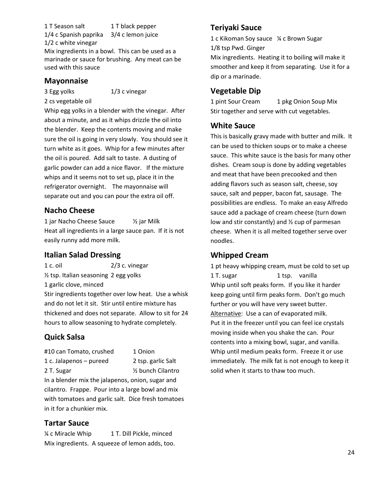1 T Season salt 1 T black pepper 1/4 c Spanish paprika 3/4 c lemon juice 1/2 c white vinegar

Mix ingredients in a bowl. This can be used as a marinade or sauce for brushing. Any meat can be used with this sauce

#### **Mayonnaise**

3 Egg yolks 1/3 c vinegar

2 cs vegetable oil

Whip egg yolks in a blender with the vinegar. After about a minute, and as it whips drizzle the oil into the blender. Keep the contents moving and make sure the oil is going in very slowly. You should see it turn white as it goes. Whip for a few minutes after the oil is poured. Add salt to taste. A dusting of garlic powder can add a nice flavor. If the mixture whips and it seems not to set up, place it in the refrigerator overnight. The mayonnaise will separate out and you can pour the extra oil off.

## **Nacho Cheese**

1 jar Nacho Cheese Sauce ½ jar Milk Heat all ingredients in a large sauce pan. If it is not easily runny add more milk.

## **Italian Salad Dressing**

1 c. oil 2/3 c. vinegar ½ tsp. Italian seasoning 2 egg yolks 1 garlic clove, minced Stir ingredients together over low heat. Use a whisk and do not let it sit. Stir until entire mixture has thickened and does not separate. Allow to sit for 24 hours to allow seasoning to hydrate completely.

## **Quick Salsa**

| #10 can Tomato, crushed | 1 Onion                        |
|-------------------------|--------------------------------|
| 1 c. Jalapenos – pureed | 2 tsp. garlic Salt             |
| 2 T. Sugar              | 1/ <sub>2</sub> bunch Cilantro |

In a blender mix the jalapenos, onion, sugar and cilantro. Frappe. Pour into a large bowl and mix with tomatoes and garlic salt. Dice fresh tomatoes in it for a chunkier mix.

## **Tartar Sauce**

¼ c Miracle Whip 1 T. Dill Pickle, minced Mix ingredients. A squeeze of lemon adds, too.

## **Teriyaki Sauce**

1 c Kikoman Soy sauce ¼ c Brown Sugar 1/8 tsp Pwd. Ginger

Mix ingredients. Heating it to boiling will make it smoother and keep it from separating. Use it for a dip or a marinade.

## **Vegetable Dip**

1 pint Sour Cream 1 pkg Onion Soup Mix Stir together and serve with cut vegetables.

## **White Sauce**

This is basically gravy made with butter and milk. It can be used to thicken soups or to make a cheese sauce. This white sauce is the basis for many other dishes. Cream soup is done by adding vegetables and meat that have been precooked and then adding flavors such as season salt, cheese, soy sauce, salt and pepper, bacon fat, sausage. The possibilities are endless. To make an easy Alfredo sauce add a package of cream cheese (turn down low and stir constantly) and ½ cup of parmesan cheese. When it is all melted together serve over noodles.

## **Whipped Cream**

1 pt heavy whipping cream, must be cold to set up 1 T. sugar 1 tsp. vanilla Whip until soft peaks form. If you like it harder keep going until firm peaks form. Don't go much further or you will have very sweet butter. Alternative: Use a can of evaporated milk. Put it in the freezer until you can feel ice crystals moving inside when you shake the can. Pour contents into a mixing bowl, sugar, and vanilla. Whip until medium peaks form. Freeze it or use immediately. The milk fat is not enough to keep it solid when it starts to thaw too much.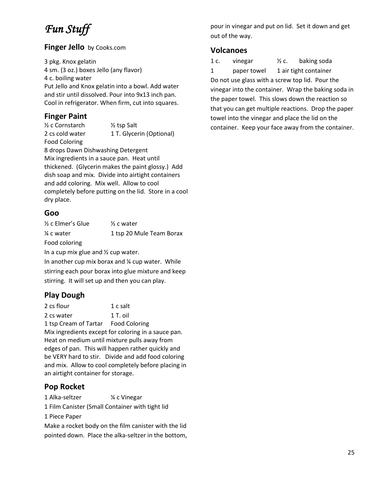# *Fun Stuff*

#### **Finger Jello** by Cooks.com

3 pkg. Knox gelatin 4 sm. (3 oz.) boxes Jello (any flavor) 4 c. boiling water Put Jello and Knox gelatin into a bowl. Add water and stir until dissolved. Pour into 9x13 inch pan. Cool in refrigerator. When firm, cut into squares.

## **Finger Paint**

 $\frac{1}{2}$  c Cornstarch  $\frac{1}{2}$  tsp Salt 2 cs cold water 1 T. Glycerin (Optional) Food Coloring

8 drops Dawn Dishwashing Detergent Mix ingredients in a sauce pan. Heat until thickened. (Glycerin makes the paint glossy.) Add dish soap and mix. Divide into airtight containers and add coloring. Mix well. Allow to cool completely before putting on the lid. Store in a cool dry place.

#### **Goo**

| $\frac{1}{2}$ c Elmer's Glue | $\frac{1}{2}$ c water    |
|------------------------------|--------------------------|
| ¼ c water                    | 1 tsp 20 Mule Team Borax |
| Food coloring                |                          |

In a cup mix glue and ½ cup water.

In another cup mix borax and ¼ cup water. While stirring each pour borax into glue mixture and keep stirring. It will set up and then you can play.

## **Play Dough**

2 cs flour 1 c salt

2 cs water 1 T. oil

1 tsp Cream of Tartar Food Coloring Mix ingredients except for coloring in a sauce pan. Heat on medium until mixture pulls away from edges of pan. This will happen rather quickly and be VERY hard to stir. Divide and add food coloring and mix. Allow to cool completely before placing in an airtight container for storage.

## **Pop Rocket**

1 Alka-seltzer ¼ c Vinegar

1 Film Canister (Small Container with tight lid

1 Piece Paper

Make a rocket body on the film canister with the lid pointed down. Place the alka-seltzer in the bottom, pour in vinegar and put on lid. Set it down and get out of the way.

#### **Volcanoes**

1 c. vinegar  $\frac{1}{2}$  c. baking soda 1 paper towel 1 air tight container Do not use glass with a screw top lid. Pour the vinegar into the container. Wrap the baking soda in the paper towel. This slows down the reaction so that you can get multiple reactions. Drop the paper towel into the vinegar and place the lid on the container. Keep your face away from the container.